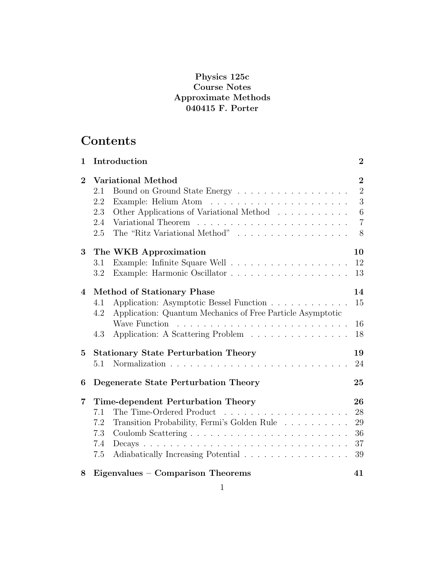### **Physics 125c Course Notes Approximate Methods 040415 F. Porter**

# **Contents**

| $\mathbf{1}$   | Introduction                                                                                                                                                              | $\overline{2}$                                                    |
|----------------|---------------------------------------------------------------------------------------------------------------------------------------------------------------------------|-------------------------------------------------------------------|
| $\overline{2}$ | <b>Variational Method</b><br>Bound on Ground State Energy<br>2.1<br>2.2<br>Other Applications of Variational Method<br>2.3<br>2.4<br>The "Ritz Variational Method"<br>2.5 | $\overline{2}$<br>$\overline{2}$<br>3<br>6<br>$\overline{7}$<br>8 |
| 3              | The WKB Approximation                                                                                                                                                     | 10                                                                |
|                | 3.1                                                                                                                                                                       | 12                                                                |
|                | 3.2                                                                                                                                                                       | 13                                                                |
| $\overline{4}$ | <b>Method of Stationary Phase</b>                                                                                                                                         | 14                                                                |
|                | Application: Asymptotic Bessel Function<br>4.1                                                                                                                            | 15                                                                |
|                | Application: Quantum Mechanics of Free Particle Asymptotic<br>4.2<br>Wave Function<br>Application: A Scattering Problem<br>4.3                                            | 16<br>18                                                          |
| 5              | <b>Stationary State Perturbation Theory</b><br>5.1                                                                                                                        | 19<br>24                                                          |
| 6              | Degenerate State Perturbation Theory                                                                                                                                      | 25                                                                |
| 7              | Time-dependent Perturbation Theory                                                                                                                                        | 26                                                                |
|                | The Time-Ordered Product<br>7.1                                                                                                                                           | 28                                                                |
|                | Transition Probability, Fermi's Golden Rule $\;\ldots\; \ldots\; \ldots\; \ldots\;$<br>7.2                                                                                | 29                                                                |
|                | 7.3                                                                                                                                                                       | 36                                                                |
|                | 7.4<br>$Decays \ldots \ldots \ldots \ldots \ldots \ldots \ldots \ldots \ldots \ldots \ldots$                                                                              | 37                                                                |
|                | Adiabatically Increasing Potential<br>7.5                                                                                                                                 | 39                                                                |
| 8              | Eigenvalues – Comparison Theorems                                                                                                                                         | 41                                                                |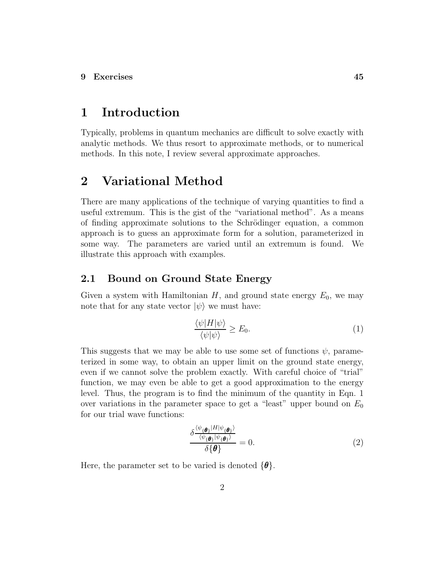# **1 Introduction**

Typically, problems in quantum mechanics are difficult to solve exactly with analytic methods. We thus resort to approximate methods, or to numerical methods. In this note, I review several approximate approaches.

# **2 Variational Method**

There are many applications of the technique of varying quantities to find a useful extremum. This is the gist of the "variational method". As a means of finding approximate solutions to the Schrödinger equation, a common approach is to guess an approximate form for a solution, parameterized in some way. The parameters are varied until an extremum is found. We illustrate this approach with examples.

#### **2.1 Bound on Ground State Energy**

Given a system with Hamiltonian  $H$ , and ground state energy  $E_0$ , we may note that for any state vector  $|\psi\rangle$  we must have:

$$
\frac{\langle \psi | H | \psi \rangle}{\langle \psi | \psi \rangle} \ge E_0. \tag{1}
$$

This suggests that we may be able to use some set of functions  $\psi$ , parameterized in some way, to obtain an upper limit on the ground state energy, even if we cannot solve the problem exactly. With careful choice of "trial" function, we may even be able to get a good approximation to the energy level. Thus, the program is to find the minimum of the quantity in Eqn. 1 over variations in the parameter space to get a "least" upper bound on *E*<sup>0</sup> for our trial wave functions:

$$
\frac{\delta \frac{\langle \psi_{\{\theta\}} | H | \psi_{\{\theta\}} \rangle}{\langle \psi_{\{\theta\}} | \psi_{\{\theta\}} \rangle}}{\delta \{\theta\}} = 0.
$$
\n(2)

Here, the parameter set to be varied is denoted {*θ*}.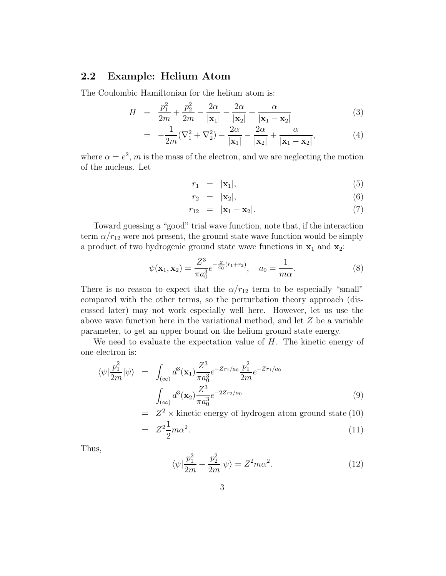### **2.2 Example: Helium Atom**

The Coulombic Hamiltonian for the helium atom is:

$$
H = \frac{p_1^2}{2m} + \frac{p_2^2}{2m} - \frac{2\alpha}{|\mathbf{x}_1|} - \frac{2\alpha}{|\mathbf{x}_2|} + \frac{\alpha}{|\mathbf{x}_1 - \mathbf{x}_2|} \tag{3}
$$

$$
= -\frac{1}{2m}(\nabla_1^2 + \nabla_2^2) - \frac{2\alpha}{|\mathbf{x}_1|} - \frac{2\alpha}{|\mathbf{x}_2|} + \frac{\alpha}{|\mathbf{x}_1 - \mathbf{x}_2|},
$$
(4)

where  $\alpha = e^2$ , *m* is the mass of the electron, and we are neglecting the motion of the nucleus. Let

$$
r_1 = |\mathbf{x}_1|,\tag{5}
$$

$$
r_2 = |\mathbf{x}_2|,\tag{6}
$$

$$
r_{12} = |\mathbf{x}_1 - \mathbf{x}_2|.
$$
 (7)

Toward guessing a "good" trial wave function, note that, if the interaction term  $\alpha/r_{12}$  were not present, the ground state wave function would be simply a product of two hydrogenic ground state wave functions in  $x_1$  and  $x_2$ :

$$
\psi(\mathbf{x}_1, \mathbf{x}_2) = \frac{Z^3}{\pi a_0^3} e^{-\frac{Z}{a_0}(r_1 + r_2)}, \quad a_0 = \frac{1}{m\alpha}.
$$
\n(8)

There is no reason to expect that the  $\alpha/r_{12}$  term to be especially "small" compared with the other terms, so the perturbation theory approach (discussed later) may not work especially well here. However, let us use the above wave function here in the variational method, and let *Z* be a variable parameter, to get an upper bound on the helium ground state energy.

We need to evaluate the expectation value of *H*. The kinetic energy of one electron is:

$$
\langle \psi | \frac{p_1^2}{2m} | \psi \rangle = \int_{(\infty)} d^3(\mathbf{x}_1) \frac{Z^3}{\pi a_0^3} e^{-Zr_1/a_0} \frac{p_1^2}{2m} e^{-Zr_1/a_0} \n\int_{(\infty)} d^3(\mathbf{x}_2) \frac{Z^3}{\pi a_0^3} e^{-2Zr_2/a_0}
$$
\n(9)

$$
= Z^2 \times \text{kinetic energy of hydrogen atom ground state (10)}
$$

$$
= Z^2 \frac{1}{2} m \alpha^2. \tag{11}
$$

Thus,

$$
\langle \psi | \frac{p_1^2}{2m} + \frac{p_2^2}{2m} | \psi \rangle = Z^2 m \alpha^2.
$$
 (12)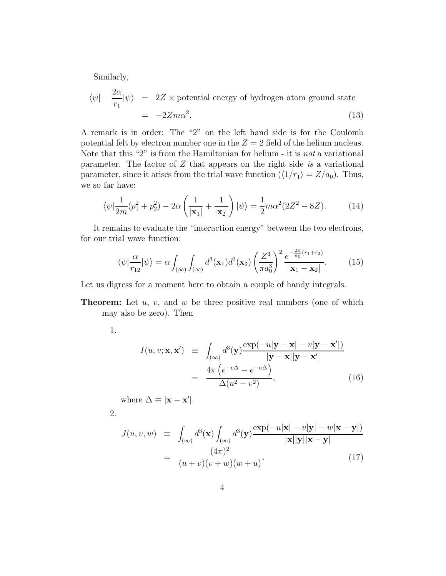Similarly,

$$
\langle \psi | - \frac{2\alpha}{r_1} | \psi \rangle = 2Z \times \text{potential energy of hydrogen atom ground state}
$$
  
= -2Zm $\alpha^2$ . (13)

A remark is in order: The "2" on the left hand side is for the Coulomb potential felt by electron number one in the  $Z = 2$  field of the helium nucleus. Note that this "2" is from the Hamiltonian for helium - it is not a variational parameter. The factor of *Z* that appears on the right side is a variational parameter, since it arises from the trial wave function  $(\langle 1/r_1 \rangle = Z/a_0)$ . Thus, we so far have:

$$
\langle \psi | \frac{1}{2m} (p_1^2 + p_2^2) - 2\alpha \left( \frac{1}{|\mathbf{x}_1|} + \frac{1}{|\mathbf{x}_2|} \right) | \psi \rangle = \frac{1}{2} m \alpha^2 (2Z^2 - 8Z). \tag{14}
$$

It remains to evaluate the "interaction energy" between the two electrons, for our trial wave function:

$$
\langle \psi | \frac{\alpha}{r_{12}} | \psi \rangle = \alpha \int_{(\infty)} \int_{(\infty)} d^3(\mathbf{x}_1) d^3(\mathbf{x}_2) \left( \frac{Z^3}{\pi a_0^3} \right)^2 \frac{e^{-\frac{2Z}{a_0}(r_1 + r_2)}}{|\mathbf{x}_1 - \mathbf{x}_2|}.
$$
 (15)

Let us digress for a moment here to obtain a couple of handy integrals.

**Theorem:** Let *u*, *v*, and *w* be three positive real numbers (one of which may also be zero). Then

1.

$$
I(u, v; \mathbf{x}, \mathbf{x}') \equiv \int_{(\infty)} d^3(\mathbf{y}) \frac{\exp(-u|\mathbf{y} - \mathbf{x}| - v|\mathbf{y} - \mathbf{x}'|)}{|\mathbf{y} - \mathbf{x}||\mathbf{y} - \mathbf{x}'|}
$$

$$
= \frac{4\pi (e^{-v\Delta} - e^{-u\Delta})}{\Delta(u^2 - v^2)}, \qquad (16)
$$

where  $\Delta \equiv |\mathbf{x} - \mathbf{x}'|$ .

2.

$$
J(u, v, w) \equiv \int_{(\infty)} d^3(\mathbf{x}) \int_{(\infty)} d^3(\mathbf{y}) \frac{\exp(-u|\mathbf{x}| - v|\mathbf{y}| - w|\mathbf{x} - \mathbf{y}|)}{|\mathbf{x}||\mathbf{y}||\mathbf{x} - \mathbf{y}|}
$$

$$
= \frac{(4\pi)^2}{(u+v)(v+w)(w+u)}.
$$
(17)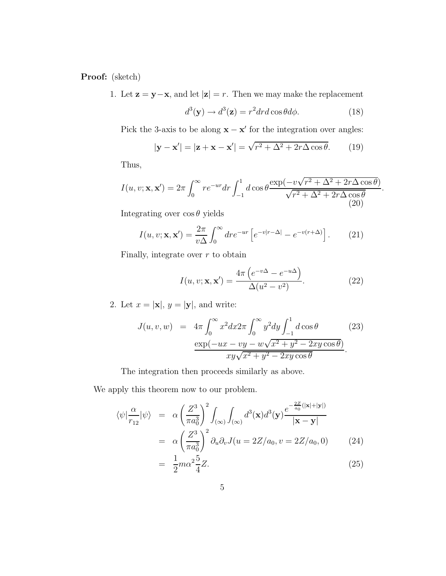**Proof:** (sketch)

1. Let **z** = **y**−**x**, and let  $|z| = r$ . Then we may make the replacement

$$
d^{3}(\mathbf{y}) \rightarrow d^{3}(\mathbf{z}) = r^{2} dr d\cos\theta d\phi.
$$
 (18)

Pick the 3-axis to be along  $\mathbf{x} - \mathbf{x}'$  for the integration over angles:

$$
|\mathbf{y} - \mathbf{x}'| = |\mathbf{z} + \mathbf{x} - \mathbf{x}'| = \sqrt{r^2 + \Delta^2 + 2r\Delta\cos\theta}.
$$
 (19)

Thus,

$$
I(u, v; \mathbf{x}, \mathbf{x}') = 2\pi \int_0^\infty r e^{-ur} dr \int_{-1}^1 d\cos\theta \frac{\exp(-v\sqrt{r^2 + \Delta^2 + 2r\Delta\cos\theta})}{\sqrt{r^2 + \Delta^2 + 2r\Delta\cos\theta}}.
$$
\n(20)

Integrating over cos *θ* yields

$$
I(u, v; \mathbf{x}, \mathbf{x}') = \frac{2\pi}{v\Delta} \int_0^\infty dr e^{-ur} \left[ e^{-v|r - \Delta|} - e^{-v(r + \Delta)} \right]. \tag{21}
$$

Finally, integrate over *r* to obtain

$$
I(u, v; \mathbf{x}, \mathbf{x}') = \frac{4\pi \left( e^{-v\Delta} - e^{-u\Delta} \right)}{\Delta(u^2 - v^2)}.
$$
 (22)

2. Let  $x = |\mathbf{x}|$ ,  $y = |\mathbf{y}|$ , and write:

$$
J(u, v, w) = 4\pi \int_0^{\infty} x^2 dx 2\pi \int_0^{\infty} y^2 dy \int_{-1}^1 d\cos\theta
$$
 (23)  

$$
\frac{\exp(-ux - vy - w\sqrt{x^2 + y^2 - 2xy\cos\theta})}{xy\sqrt{x^2 + y^2 - 2xy\cos\theta}}.
$$

The integration then proceeds similarly as above.

We apply this theorem now to our problem.

$$
\langle \psi | \frac{\alpha}{r_{12}} | \psi \rangle = \alpha \left( \frac{Z^3}{\pi a_0^3} \right)^2 \int_{(\infty)} \int_{(\infty)} d^3(\mathbf{x}) d^3(\mathbf{y}) \frac{e^{-\frac{2Z}{a_0}(|\mathbf{x}| + |\mathbf{y}|)}}{|\mathbf{x} - \mathbf{y}|}
$$
  
=  $\alpha \left( \frac{Z^3}{\pi a_0^3} \right)^2 \partial_u \partial_v J(u = 2Z/a_0, v = 2Z/a_0, 0)$  (24)

$$
= \frac{1}{2}m\alpha^2 \frac{5}{4}Z.
$$
 (25)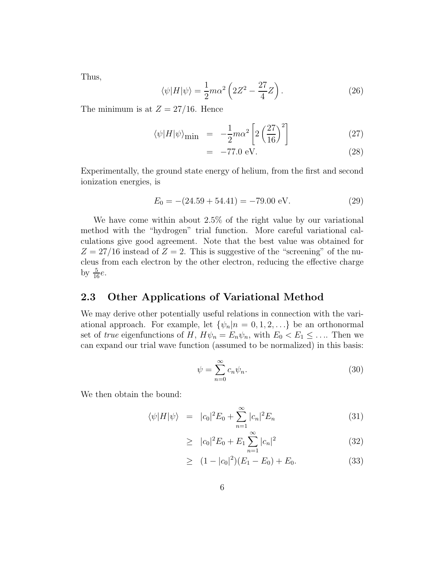Thus,

$$
\langle \psi | H | \psi \rangle = \frac{1}{2} m \alpha^2 \left( 2Z^2 - \frac{27}{4} Z \right). \tag{26}
$$

The minimum is at  $Z = 27/16$ . Hence

$$
\langle \psi | H | \psi \rangle_{\text{min}} = -\frac{1}{2} m \alpha^2 \left[ 2 \left( \frac{27}{16} \right)^2 \right] \tag{27}
$$

$$
= -77.0 \text{ eV.} \tag{28}
$$

Experimentally, the ground state energy of helium, from the first and second ionization energies, is

$$
E_0 = -(24.59 + 54.41) = -79.00 \text{ eV}.
$$
 (29)

We have come within about 2.5% of the right value by our variational method with the "hydrogen" trial function. More careful variational calculations give good agreement. Note that the best value was obtained for  $Z = 27/16$  instead of  $Z = 2$ . This is suggestive of the "screening" of the nucleus from each electron by the other electron, reducing the effective charge by  $\frac{5}{16}e$ .

### **2.3 Other Applications of Variational Method**

We may derive other potentially useful relations in connection with the variational approach. For example, let  $\{\psi_n|n=0,1,2,\ldots\}$  be an orthonormal set of true eigenfunctions of *H*,  $H\psi_n = E_n\psi_n$ , with  $E_0 < E_1 \leq \dots$  Then we can expand our trial wave function (assumed to be normalized) in this basis:

$$
\psi = \sum_{n=0}^{\infty} c_n \psi_n.
$$
\n(30)

We then obtain the bound:

$$
\langle \psi | H | \psi \rangle = |c_0|^2 E_0 + \sum_{n=1}^{\infty} |c_n|^2 E_n \tag{31}
$$

$$
\geq |c_0|^2 E_0 + E_1 \sum_{n=1}^{\infty} |c_n|^2 \tag{32}
$$

$$
\geq (1 - |c_0|^2)(E_1 - E_0) + E_0. \tag{33}
$$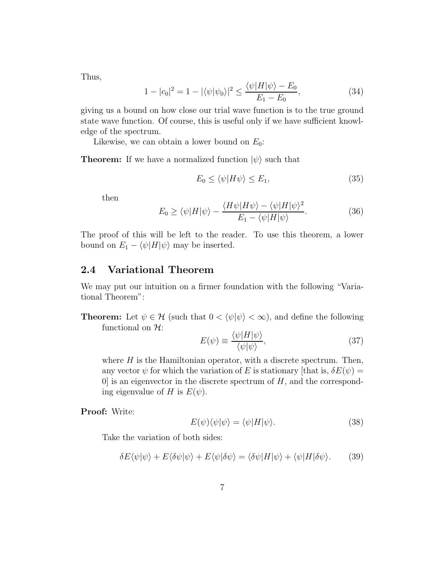Thus,

$$
1 - |c_0|^2 = 1 - |\langle \psi | \psi_0 \rangle|^2 \le \frac{\langle \psi | H | \psi \rangle - E_0}{E_1 - E_0},\tag{34}
$$

giving us a bound on how close our trial wave function is to the true ground state wave function. Of course, this is useful only if we have sufficient knowledge of the spectrum.

Likewise, we can obtain a lower bound on *E*0:

**Theorem:** If we have a normalized function  $|\psi\rangle$  such that

$$
E_0 \le \langle \psi | H \psi \rangle \le E_1,\tag{35}
$$

then

$$
E_0 \ge \langle \psi | H | \psi \rangle - \frac{\langle H \psi | H \psi \rangle - \langle \psi | H | \psi \rangle^2}{E_1 - \langle \psi | H | \psi \rangle}.
$$
 (36)

The proof of this will be left to the reader. To use this theorem, a lower bound on  $E_1 - \langle \psi | H | \psi \rangle$  may be inserted.

### **2.4 Variational Theorem**

We may put our intuition on a firmer foundation with the following "Variational Theorem":

**Theorem:** Let  $\psi \in \mathcal{H}$  (such that  $0 < \langle \psi | \psi \rangle < \infty$ ), and define the following functional on  $\mathcal{H}$ :

$$
E(\psi) \equiv \frac{\langle \psi | H | \psi \rangle}{\langle \psi | \psi \rangle},\tag{37}
$$

where  $H$  is the Hamiltonian operator, with a discrete spectrum. Then, any vector  $\psi$  for which the variation of *E* is stationary [that is,  $\delta E(\psi)$  =  $[0]$  is an eigenvector in the discrete spectrum of  $H$ , and the corresponding eigenvalue of *H* is  $E(\psi)$ .

**Proof:** Write:

$$
E(\psi)\langle\psi|\psi\rangle = \langle\psi|H|\psi\rangle.
$$
 (38)

Take the variation of both sides:

$$
\delta E \langle \psi | \psi \rangle + E \langle \delta \psi | \psi \rangle + E \langle \psi | \delta \psi \rangle = \langle \delta \psi | H | \psi \rangle + \langle \psi | H | \delta \psi \rangle. \tag{39}
$$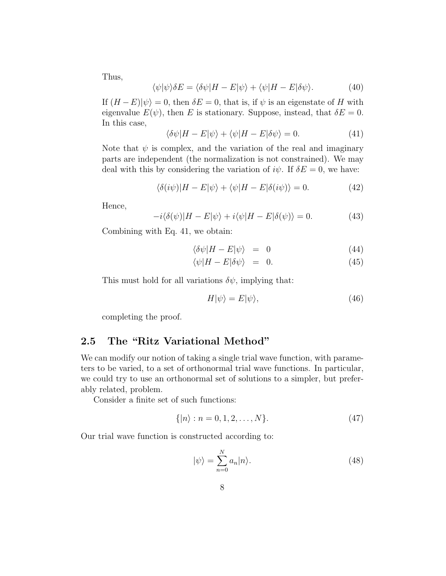Thus,

$$
\langle \psi | \psi \rangle \delta E = \langle \delta \psi | H - E | \psi \rangle + \langle \psi | H - E | \delta \psi \rangle. \tag{40}
$$

If  $(H - E)|\psi\rangle = 0$ , then  $\delta E = 0$ , that is, if  $\psi$  is an eigenstate of *H* with eigenvalue  $E(\psi)$ , then *E* is stationary. Suppose, instead, that  $\delta E = 0$ . In this case,

$$
\langle \delta \psi | H - E | \psi \rangle + \langle \psi | H - E | \delta \psi \rangle = 0. \tag{41}
$$

Note that  $\psi$  is complex, and the variation of the real and imaginary parts are independent (the normalization is not constrained). We may deal with this by considering the variation of  $i\psi$ . If  $\delta E = 0$ , we have:

$$
\langle \delta(i\psi)|H - E|\psi\rangle + \langle \psi|H - E|\delta(i\psi)\rangle = 0.
$$
 (42)

Hence,

$$
-i\langle \delta(\psi)|H - E|\psi\rangle + i\langle \psi|H - E|\delta(\psi)\rangle = 0.
$$
 (43)

Combining with Eq. 41, we obtain:

$$
\langle \delta \psi | H - E | \psi \rangle = 0 \tag{44}
$$

$$
\langle \psi | H - E | \delta \psi \rangle = 0. \tag{45}
$$

This must hold for all variations  $\delta \psi$ , implying that:

$$
H|\psi\rangle = E|\psi\rangle,\tag{46}
$$

completing the proof.

### **2.5 The "Ritz Variational Method"**

We can modify our notion of taking a single trial wave function, with parameters to be varied, to a set of orthonormal trial wave functions. In particular, we could try to use an orthonormal set of solutions to a simpler, but preferably related, problem.

Consider a finite set of such functions:

$$
\{|n\rangle : n = 0, 1, 2, \dots, N\}.
$$
 (47)

Our trial wave function is constructed according to:

$$
|\psi\rangle = \sum_{n=0}^{N} a_n |n\rangle.
$$
 (48)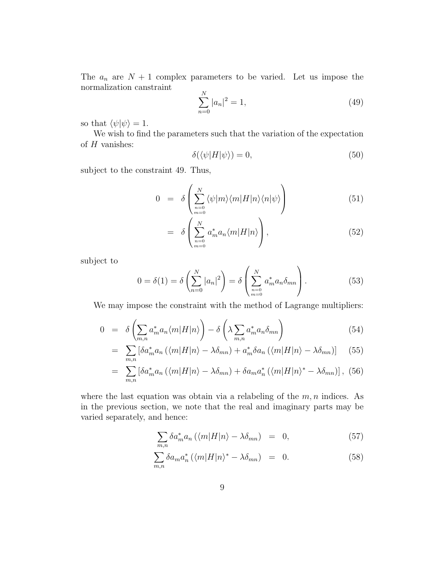The  $a_n$  are  $N+1$  complex parameters to be varied. Let us impose the normalization canstraint  $\mathbf{v}$ 

$$
\sum_{n=0}^{N} |a_n|^2 = 1,
$$
\n(49)

so that  $\langle \psi | \psi \rangle = 1$ .

We wish to find the parameters such that the variation of the expectation of *H* vanishes:

$$
\delta(\langle \psi | H | \psi \rangle) = 0,\tag{50}
$$

subject to the constraint 49. Thus,

$$
0 = \delta \left( \sum_{\substack{n=0 \ m=0}}^{N} \langle \psi | m \rangle \langle m | H | n \rangle \langle n | \psi \rangle \right) \tag{51}
$$

$$
= \delta \left( \sum_{\substack{n=0 \ m=0}}^{N} a_m^* a_n \langle m | H | n \rangle \right), \tag{52}
$$

subject to

$$
0 = \delta(1) = \delta\left(\sum_{n=0}^{N} |a_n|^2\right) = \delta\left(\sum_{\substack{n=0 \ n=0}}^{N} a_m^* a_n \delta_{mn}\right).
$$
 (53)

We may impose the constraint with the method of Lagrange multipliers:

$$
0 = \delta \left( \sum_{m,n} a_m^* a_n \langle m | H | n \rangle \right) - \delta \left( \lambda \sum_{m,n} a_m^* a_n \delta_{mn} \right) \tag{54}
$$

$$
= \sum_{m,n} \left[ \delta a_m^* a_n \left( \langle m | H | n \rangle - \lambda \delta_{mn} \right) + a_m^* \delta a_n \left( \langle m | H | n \rangle - \lambda \delta_{mn} \right) \right] \tag{55}
$$

$$
= \sum_{m,n} \left[ \delta a_m^* a_n \left( \langle m | H | n \rangle - \lambda \delta_{mn} \right) + \delta a_m a_n^* \left( \langle m | H | n \rangle^* - \lambda \delta_{mn} \right) \right], \tag{56}
$$

where the last equation was obtain via a relabeling of the *m, n* indices. As in the previous section, we note that the real and imaginary parts may be varied separately, and hence:

$$
\sum_{m,n} \delta a_m^* a_n \left( \langle m | H | n \rangle - \lambda \delta_{mn} \right) = 0, \tag{57}
$$

$$
\sum_{m,n} \delta a_m a_n^* \left( \langle m | H | n \rangle^* - \lambda \delta_{mn} \right) = 0. \tag{58}
$$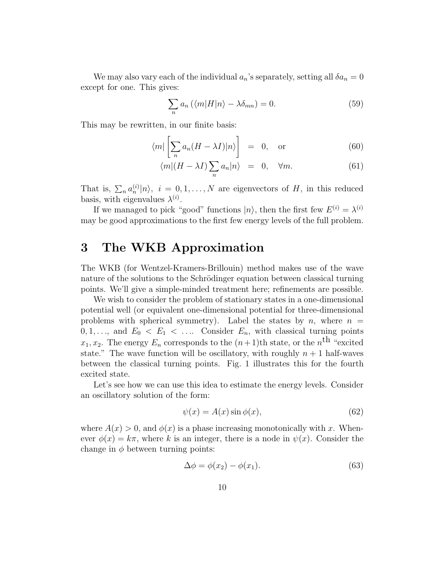We may also vary each of the individual  $a_n$ 's separately, setting all  $\delta a_n = 0$ except for one. This gives:

$$
\sum_{n} a_n \left( \langle m | H | n \rangle - \lambda \delta_{mn} \right) = 0. \tag{59}
$$

This may be rewritten, in our finite basis:

$$
\langle m | \left[ \sum_{n} a_n (H - \lambda I) | n \rangle \right] = 0, \text{ or } (60)
$$

$$
\langle m|(H - \lambda I) \sum_{n} a_n |n\rangle = 0, \quad \forall m. \tag{61}
$$

That is,  $\sum_n a_n^{(i)} |n\rangle$ ,  $i = 0, 1, ..., N$  are eigenvectors of *H*, in this reduced basis, with eigenvalues  $\lambda^{(i)}$ .

If we managed to pick "good" functions  $|n\rangle$ , then the first few  $E^{(i)} = \lambda^{(i)}$ may be good approximations to the first few energy levels of the full problem.

# **3 The WKB Approximation**

The WKB (for Wentzel-Kramers-Brillouin) method makes use of the wave nature of the solutions to the Schrödinger equation between classical turning points. We'll give a simple-minded treatment here; refinements are possible.

We wish to consider the problem of stationary states in a one-dimensional potential well (or equivalent one-dimensional potential for three-dimensional problems with spherical symmetry). Label the states by  $n$ , where  $n =$  $0, 1, \ldots$ , and  $E_0 \le E_1 \le \ldots$  Consider  $E_n$ , with classical turning points  $x_1, x_2$ . The energy  $E_n$  corresponds to the  $(n+1)$ th state, or the *n*<sup>th</sup> "excited" state." The wave function will be oscillatory, with roughly  $n+1$  half-waves between the classical turning points. Fig. 1 illustrates this for the fourth excited state.

Let's see how we can use this idea to estimate the energy levels. Consider an oscillatory solution of the form:

$$
\psi(x) = A(x)\sin\phi(x),\tag{62}
$$

where  $A(x) > 0$ , and  $\phi(x)$  is a phase increasing monotonically with x. Whenever  $\phi(x) = k\pi$ , where *k* is an integer, there is a node in  $\psi(x)$ . Consider the change in  $\phi$  between turning points:

$$
\Delta \phi = \phi(x_2) - \phi(x_1). \tag{63}
$$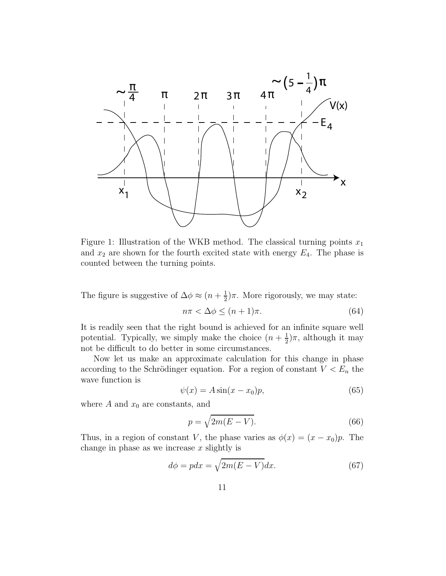

Figure 1: Illustration of the WKB method. The classical turning points *x*<sup>1</sup> and  $x_2$  are shown for the fourth excited state with energy  $E_4$ . The phase is counted between the turning points.

The figure is suggestive of  $\Delta \phi \approx (n + \frac{1}{2})\pi$ . More rigorously, we may state:

$$
n\pi < \Delta\phi \le (n+1)\pi. \tag{64}
$$

It is readily seen that the right bound is achieved for an infinite square well potential. Typically, we simply make the choice  $(n + \frac{1}{2})\pi$ , although it may not be difficult to do better in some circumstances.

Now let us make an approximate calculation for this change in phase according to the Schrödinger equation. For a region of constant  $V < E_n$  the wave function is

$$
\psi(x) = A\sin(x - x_0)p,\tag{65}
$$

where  $A$  and  $x_0$  are constants, and

$$
p = \sqrt{2m(E - V)}.
$$
\n(66)

Thus, in a region of constant *V*, the phase varies as  $\phi(x)=(x-x_0)p$ . The change in phase as we increase *x* slightly is

$$
d\phi = pdx = \sqrt{2m(E - V)}dx.
$$
\n(67)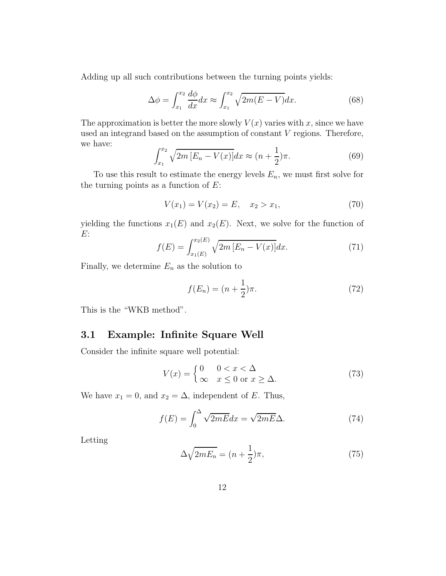Adding up all such contributions between the turning points yields:

$$
\Delta \phi = \int_{x_1}^{x_2} \frac{d\phi}{dx} dx \approx \int_{x_1}^{x_2} \sqrt{2m(E - V)} dx. \tag{68}
$$

The approximation is better the more slowly  $V(x)$  varies with *x*, since we have used an integrand based on the assumption of constant *V* regions. Therefore, we have:

$$
\int_{x_1}^{x_2} \sqrt{2m \left[E_n - V(x)\right]} dx \approx (n + \frac{1}{2})\pi.
$$
 (69)

To use this result to estimate the energy levels  $E_n$ , we must first solve for the turning points as a function of *E*:

$$
V(x_1) = V(x_2) = E, \quad x_2 > x_1,\tag{70}
$$

yielding the functions  $x_1(E)$  and  $x_2(E)$ . Next, we solve for the function of *E*:

$$
f(E) = \int_{x_1(E)}^{x_2(E)} \sqrt{2m \left[E_n - V(x)\right]} dx.
$$
 (71)

Finally, we determine  $E_n$  as the solution to

$$
f(E_n) = (n + \frac{1}{2})\pi.
$$
 (72)

This is the "WKB method".

### **3.1 Example: Infinite Square Well**

Consider the infinite square well potential:

$$
V(x) = \begin{cases} 0 & 0 < x < \Delta \\ \infty & x \le 0 \text{ or } x \ge \Delta. \end{cases}
$$
 (73)

We have  $x_1 = 0$ , and  $x_2 = \Delta$ , independent of *E*. Thus,

$$
f(E) = \int_0^\Delta \sqrt{2mE} dx = \sqrt{2mE}\Delta.
$$
 (74)

Letting

$$
\Delta\sqrt{2mE_n} = (n + \frac{1}{2})\pi,\tag{75}
$$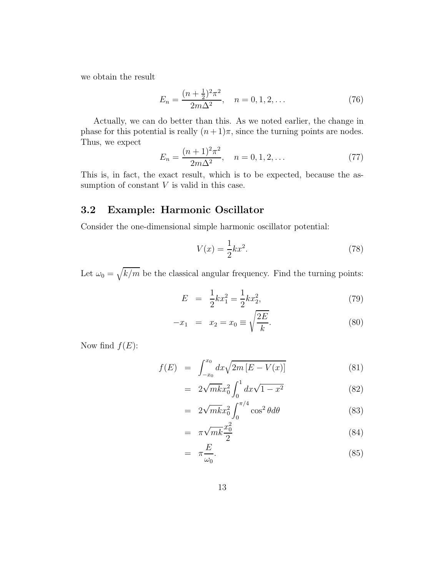we obtain the result

$$
E_n = \frac{(n + \frac{1}{2})^2 \pi^2}{2m\Delta^2}, \quad n = 0, 1, 2, \dots
$$
 (76)

Actually, we can do better than this. As we noted earlier, the change in phase for this potential is really  $(n+1)\pi$ , since the turning points are nodes. Thus, we expect

$$
E_n = \frac{(n+1)^2 \pi^2}{2m\Delta^2}, \quad n = 0, 1, 2, \dots
$$
 (77)

This is, in fact, the exact result, which is to be expected, because the assumption of constant *V* is valid in this case.

### **3.2 Example: Harmonic Oscillator**

Consider the one-dimensional simple harmonic oscillator potential:

$$
V(x) = \frac{1}{2}kx^2.
$$
 (78)

Let  $\omega_0 = \sqrt{k/m}$  be the classical angular frequency. Find the turning points:

$$
E = \frac{1}{2}kx_1^2 = \frac{1}{2}kx_2^2,
$$
\n(79)

$$
-x_1 = x_2 = x_0 \equiv \sqrt{\frac{2E}{k}}.
$$
 (80)

Now find  $f(E)$ :

$$
f(E) = \int_{-x_0}^{x_0} dx \sqrt{2m [E - V(x)]} \tag{81}
$$

$$
= 2\sqrt{mk}x_0^2 \int_0^1 dx \sqrt{1 - x^2} \tag{82}
$$

$$
= 2\sqrt{mk}x_0^2 \int_0^{\pi/4} \cos^2 \theta d\theta \tag{83}
$$

$$
= \pi \sqrt{mk} \frac{x_0^2}{2} \tag{84}
$$

$$
= \pi \frac{E}{\omega_0}.
$$
 (85)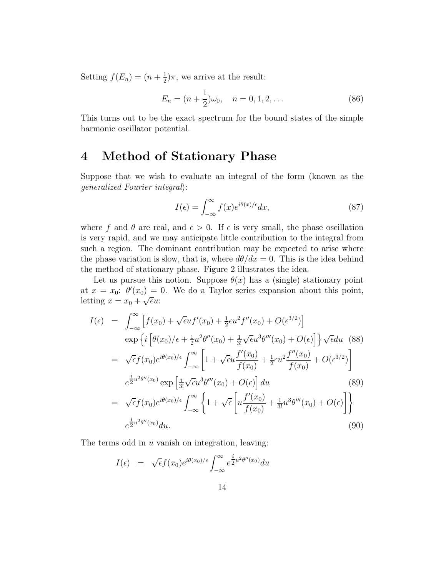Setting  $f(E_n)=(n+\frac{1}{2})\pi$ , we arrive at the result:

$$
E_n = (n + \frac{1}{2})\omega_0, \quad n = 0, 1, 2, \dots
$$
 (86)

This turns out to be the exact spectrum for the bound states of the simple harmonic oscillator potential.

## **4 Method of Stationary Phase**

Suppose that we wish to evaluate an integral of the form (known as the generalized Fourier integral):

$$
I(\epsilon) = \int_{-\infty}^{\infty} f(x)e^{i\theta(x)/\epsilon} dx,
$$
\n(87)

where f and  $\theta$  are real, and  $\epsilon > 0$ . If  $\epsilon$  is very small, the phase oscillation is very rapid, and we may anticipate little contribution to the integral from such a region. The dominant contribution may be expected to arise where the phase variation is slow, that is, where  $d\theta/dx = 0$ . This is the idea behind the method of stationary phase. Figure 2 illustrates the idea.

Let us pursue this notion. Suppose  $\theta(x)$  has a (single) stationary point at  $x = x_0$ :  $\theta'(x_0) = 0$ . We do a Taylor series expansion about this point, letting  $x = x_0 + \sqrt{\epsilon}u$ :

$$
I(\epsilon) = \int_{-\infty}^{\infty} \left[ f(x_0) + \sqrt{\epsilon} u f'(x_0) + \frac{1}{2} \epsilon u^2 f''(x_0) + O(\epsilon^{3/2}) \right]
$$
  
\n
$$
\exp \left\{ i \left[ \theta(x_0) / \epsilon + \frac{1}{2} u^2 \theta''(x_0) + \frac{1}{3!} \sqrt{\epsilon} u^3 \theta'''(x_0) + O(\epsilon) \right] \right\} \sqrt{\epsilon} du \quad (88)
$$
  
\n
$$
= \sqrt{\epsilon} f(x_0) e^{i\theta(x_0)/\epsilon} \int_{-\infty}^{\infty} \left[ 1 + \sqrt{\epsilon} u \frac{f'(x_0)}{f(x_0)} + \frac{1}{2} \epsilon u^2 \frac{f''(x_0)}{f(x_0)} + O(\epsilon^{3/2}) \right]
$$
  
\n
$$
e^{\frac{i}{2} u^2 \theta''(x_0)} \exp \left[ \frac{i}{3!} \sqrt{\epsilon} u^3 \theta'''(x_0) + O(\epsilon) \right] du \qquad (89)
$$
  
\n
$$
= \sqrt{\epsilon} f(x_0) e^{i\theta(x_0)/\epsilon} \int_{-\infty}^{\infty} \left\{ 1 + \sqrt{\epsilon} \left[ u \frac{f'(x_0)}{f(x_0)} + \frac{1}{3!} u^3 \theta'''(x_0) + O(\epsilon) \right] \right\}
$$
  
\n
$$
e^{\frac{i}{2} u^2 \theta''(x_0)} du.
$$
  
\n(90)

The terms odd in *u* vanish on integration, leaving:

$$
I(\epsilon) = \sqrt{\epsilon} f(x_0) e^{i\theta(x_0)/\epsilon} \int_{-\infty}^{\infty} e^{\frac{i}{2}u^2 \theta''(x_0)} du
$$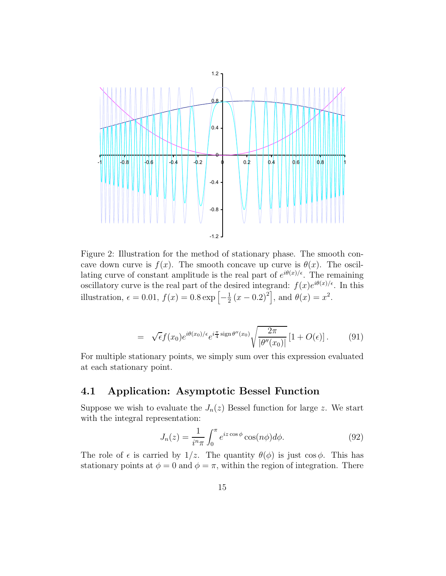

Figure 2: Illustration for the method of stationary phase. The smooth concave down curve is  $f(x)$ . The smooth concave up curve is  $\theta(x)$ . The oscillating curve of constant amplitude is the real part of  $e^{i\theta(x)/\epsilon}$ . The remaining oscillatory curve is the real part of the desired integrand:  $f(x)e^{i\theta(x)/\epsilon}$ . In this illustration,  $\epsilon = 0.01$ ,  $f(x) = 0.8 \exp \left[ -\frac{1}{2} (x - 0.2)^2 \right]$ , and  $\theta(x) = x^2$ .

$$
= \sqrt{\epsilon} f(x_0) e^{i\theta(x_0)/\epsilon} e^{i\frac{\pi}{4}\operatorname{sign}\theta''(x_0)} \sqrt{\frac{2\pi}{|\theta''(x_0)|}} \left[1 + O(\epsilon)\right]. \tag{91}
$$

For multiple stationary points, we simply sum over this expression evaluated at each stationary point.

### **4.1 Application: Asymptotic Bessel Function**

Suppose we wish to evaluate the  $J_n(z)$  Bessel function for large *z*. We start with the integral representation:

$$
J_n(z) = \frac{1}{i^n \pi} \int_0^\pi e^{iz \cos \phi} \cos(n\phi) d\phi.
$$
 (92)

The role of  $\epsilon$  is carried by  $1/z$ . The quantity  $\theta(\phi)$  is just cos  $\phi$ . This has stationary points at  $\phi = 0$  and  $\phi = \pi$ , within the region of integration. There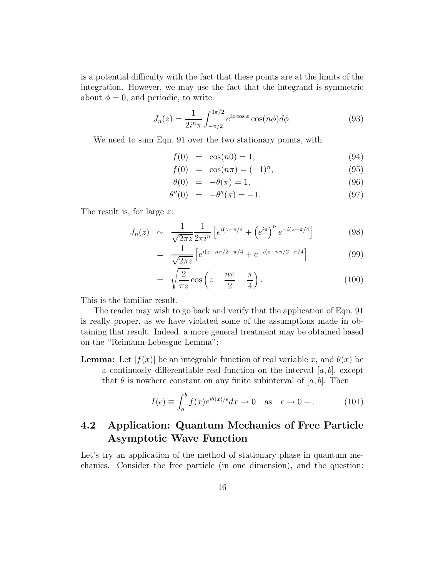is a potential difficulty with the fact that these points are at the limits of the integration. However, we may use the fact that the integrand is symmetric about  $\phi = 0$ , and periodic, to write:

$$
J_n(z) = \frac{1}{2i^n \pi} \int_{-\pi/2}^{3\pi/2} e^{iz \cos \phi} \cos(n\phi) d\phi.
$$
 (93)

We need to sum Eqn. 91 over the two stationary points, with

$$
f(0) = \cos(n0) = 1,
$$
\n(94)

$$
f(0) = \cos(n\pi) = (-1)^n,
$$
\n(95)

$$
\theta(0) = -\theta(\pi) = 1,\tag{96}
$$

$$
\theta''(0) = -\theta''(\pi) = -1.
$$
\n(97)

The result is, for large *z*:

$$
J_n(z) \sim \frac{1}{\sqrt{2\pi z}} \frac{1}{2\pi i^n} \left[ e^{i(z-\pi/4)} + \left( e^{i\pi} \right)^n e^{-i(z-\pi/4)} \right] \tag{98}
$$

$$
= \frac{1}{\sqrt{2\pi z}} \left[ e^{i(z - n\pi/2 - \pi/4)} + e^{-i(z - n\pi/2 - \pi/4)} \right]
$$
(99)

$$
= \sqrt{\frac{2}{\pi z}} \cos \left( z - \frac{n\pi}{2} - \frac{\pi}{4} \right). \tag{100}
$$

This is the familiar result.

The reader may wish to go back and verify that the application of Eqn. 91 is really proper, as we have violated some of the assumptions made in obtaining that result. Indeed, a more general treatment may be obtained based on the "Reimann-Lebesgue Lemma":

**Lemma:** Let  $|f(x)|$  be an integrable function of real variable *x*, and  $\theta(x)$  be a continuosly differentiable real function on the interval [*a, b*], except that  $\theta$  is nowhere constant on any finite subinterval of [ $a, b$ ]. Then

$$
I(\epsilon) \equiv \int_{a}^{b} f(x)e^{i\theta(x)/\epsilon} dx \to 0 \quad \text{as} \quad \epsilon \to 0+. \tag{101}
$$

### **4.2 Application: Quantum Mechanics of Free Particle Asymptotic Wave Function**

Let's try an application of the method of stationary phase in quantum mechanics. Consider the free particle (in one dimension), and the question: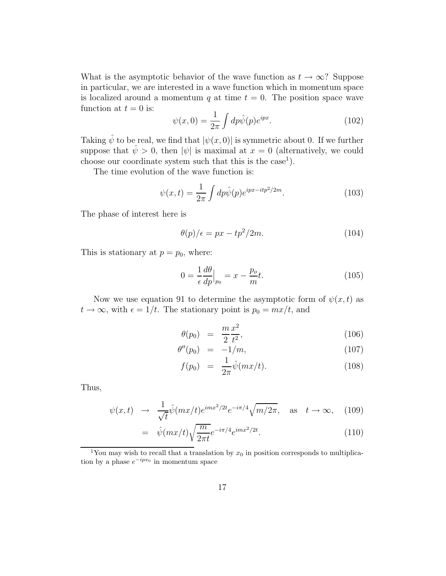What is the asymptotic behavior of the wave function as  $t \to \infty$ ? Suppose in particular, we are interested in a wave function which in momentum space is localized around a momentum  $q$  at time  $t = 0$ . The position space wave function at  $t = 0$  is:

$$
\psi(x,0) = \frac{1}{2\pi} \int dp \hat{\psi}(p) e^{ipx}.
$$
\n(102)

Taking  $\hat{\psi}$  to be real, we find that  $|\psi(x, 0)|$  is symmetric about 0. If we further suppose that  $\hat{\psi} > 0$ , then  $|\psi|$  is maximal at  $x = 0$  (alternatively, we could choose our coordinate system such that this is the case<sup>1</sup>).

The time evolution of the wave function is:

$$
\psi(x,t) = \frac{1}{2\pi} \int dp \hat{\psi}(p) e^{ipx - itp^2/2m}.\tag{103}
$$

The phase of interest here is

$$
\theta(p)/\epsilon = px - tp^2/2m. \tag{104}
$$

This is stationary at  $p = p_0$ , where:

$$
0 = \frac{1}{\epsilon} \frac{d\theta}{dp}\Big|_{p_0} = x - \frac{p_o}{m}t. \tag{105}
$$

Now we use equation 91 to determine the asymptotic form of  $\psi(x, t)$  as  $t \to \infty$ , with  $\epsilon = 1/t$ . The stationary point is  $p_0 = mx/t$ , and

$$
\theta(p_0) = \frac{m x^2}{2 t^2},\tag{106}
$$

$$
\theta''(p_0) = -1/m,\tag{107}
$$

$$
f(p_0) = \frac{1}{2\pi} \hat{\psi}(mx/t).
$$
 (108)

Thus,

$$
\psi(x,t) \rightarrow \frac{1}{\sqrt{t}} \hat{\psi}(mx/t) e^{imx^2/2t} e^{-i\pi/4} \sqrt{m/2\pi}, \text{ as } t \rightarrow \infty,
$$
 (109)

$$
= \hat{\psi}(mx/t)\sqrt{\frac{m}{2\pi t}}e^{-i\pi/4}e^{imx^2/2t}.\tag{110}
$$

<sup>1</sup>You may wish to recall that a translation by  $x_0$  in position corresponds to multiplication by a phase  $e^{-ipx_0}$  in momentum space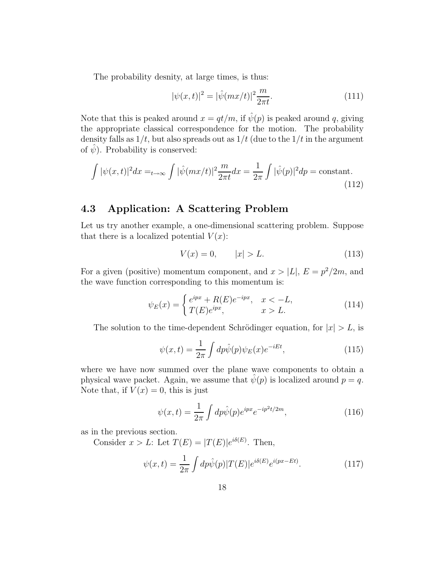The probability desnity, at large times, is thus:

$$
|\psi(x,t)|^2 = |\hat{\psi}(mx/t)|^2 \frac{m}{2\pi t}.
$$
\n(111)

Note that this is peaked around  $x = qt/m$ , if  $\hat{\psi}(p)$  is peaked around *q*, giving the appropriate classical correspondence for the motion. The probability density falls as  $1/t$ , but also spreads out as  $1/t$  (due to the  $1/t$  in the argument of  $\hat{\psi}$ ). Probability is conserved:

$$
\int |\psi(x,t)|^2 dx =_{t \to \infty} \int |\hat{\psi}(mx/t)|^2 \frac{m}{2\pi t} dx = \frac{1}{2\pi} \int |\hat{\psi}(p)|^2 dp = \text{constant.}
$$
\n(112)

### **4.3 Application: A Scattering Problem**

Let us try another example, a one-dimensional scattering problem. Suppose that there is a localized potential  $V(x)$ :

$$
V(x) = 0, \t |x| > L. \t (113)
$$

For a given (positive) momentum component, and  $x > |L|$ ,  $E = p^2/2m$ , and the wave function corresponding to this momentum is:

$$
\psi_E(x) = \begin{cases} e^{ipx} + R(E)e^{-ipx}, & x < -L, \\ T(E)e^{ipx}, & x > L. \end{cases} \tag{114}
$$

The solution to the time-dependent Schrödinger equation, for  $|x| > L$ , is

$$
\psi(x,t) = \frac{1}{2\pi} \int dp \hat{\psi}(p)\psi_E(x)e^{-iEt},\tag{115}
$$

where we have now summed over the plane wave components to obtain a physical wave packet. Again, we assume that  $\hat{\psi}(p)$  is localized around  $p = q$ . Note that, if  $V(x) = 0$ , this is just

$$
\psi(x,t) = \frac{1}{2\pi} \int dp \hat{\psi}(p) e^{ipx} e^{-ip^2 t/2m}, \qquad (116)
$$

as in the previous section.

Consider  $x > L$ : Let  $T(E) = |T(E)|e^{i\delta(E)}$ . Then,

$$
\psi(x,t) = \frac{1}{2\pi} \int dp \hat{\psi}(p) |T(E)| e^{i\delta(E)} e^{i(px - Et)}.
$$
\n(117)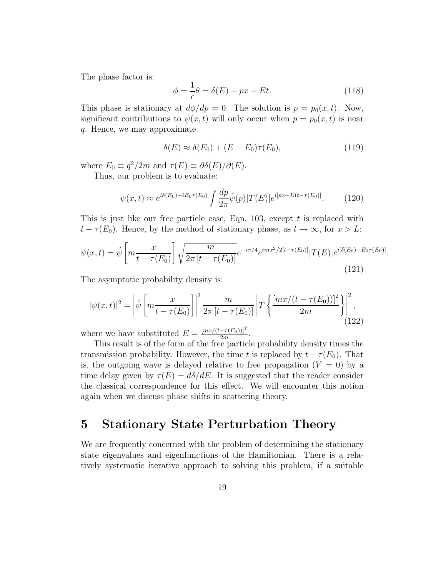The phase factor is:

$$
\phi = \frac{1}{\epsilon}\theta = \delta(E) + px - Et.
$$
\n(118)

This phase is stationary at  $d\phi/dp = 0$ . The solution is  $p = p_0(x, t)$ . Now, significant contributions to  $\psi(x, t)$  will only occur when  $p = p_0(x, t)$  is near *q*. Hence, we may approximate

$$
\delta(E) \approx \delta(E_0) + (E - E_0)\tau(E_0),\tag{119}
$$

where  $E_0 \equiv q^2/2m$  and  $\tau(E) \equiv \partial \delta(E)/\partial(E)$ .

Thus, our problem is to evaluate:

$$
\psi(x,t) \approx e^{i\delta(E_0) - iE_0\tau(E_0)} \int \frac{dp}{2\pi} \hat{\psi}(p) |T(E)| e^{i\left[px - E(t - \tau(E_0))\right]}.\tag{120}
$$

This is just like our free particle case, Eqn. 103, except *t* is replaced with  $t - \tau(E_0)$ . Hence, by the method of stationary phase, as  $t \to \infty$ , for  $x > L$ :

$$
\psi(x,t) = \hat{\psi} \left[ m \frac{x}{t - \tau(E_0)} \right] \sqrt{\frac{m}{2\pi \left[ t - \tau(E_0) \right]}} e^{-i\pi/4} e^{imx^2/2[t - \tau(E_0)]} |T(E)| e^{i[\delta(E_0) - E_0 \tau(E_0)]}.
$$
\n(121)

The asymptotic probability density is:

$$
|\psi(x,t)|^2 = \left|\hat{\psi}\left[m\frac{x}{t-\tau(E_0)}\right]\right|^2 \frac{m}{2\pi \left[t-\tau(E_0)\right]} \left|T\left\{\frac{[mx/(t-\tau(E_0))]^2}{2m}\right\}\right|^2, \tag{122}
$$

where we have substituted  $E = \frac{[mx/(t-\tau(E_0))]^2}{2m}$ .

This result is of the form of the free particle probability density times the transmission probability. However, the time *t* is replaced by  $t - \tau(E_0)$ . That is, the outgoing wave is delayed relative to free propagation  $(V = 0)$  by a time delay given by  $\tau(E) = d\delta/dE$ . It is suggested that the reader consider the classical correspondence for this effect. We will encounter this notion again when we discuss phase shifts in scattering theory.

# **5 Stationary State Perturbation Theory**

We are frequently concerned with the problem of determining the stationary state eigenvalues and eigenfunctions of the Hamiltonian. There is a relatively systematic iterative approach to solving this problem, if a suitable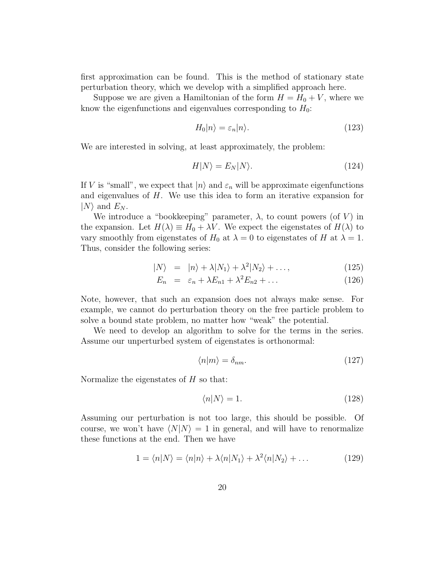first approximation can be found. This is the method of stationary state perturbation theory, which we develop with a simplified approach here.

Suppose we are given a Hamiltonian of the form  $H = H_0 + V$ , where we know the eigenfunctions and eigenvalues corresponding to  $H_0$ :

$$
H_0|n\rangle = \varepsilon_n|n\rangle. \tag{123}
$$

We are interested in solving, at least approximately, the problem:

$$
H|N\rangle = E_N|N\rangle. \tag{124}
$$

If *V* is "small", we expect that  $|n\rangle$  and  $\varepsilon_n$  will be approximate eigenfunctions and eigenvalues of *H*. We use this idea to form an iterative expansion for  $|N\rangle$  and  $E_N$ .

We introduce a "bookkeeping" parameter,  $\lambda$ , to count powers (of *V*) in the expansion. Let  $H(\lambda) \equiv H_0 + \lambda V$ . We expect the eigenstates of  $H(\lambda)$  to vary smoothly from eigenstates of  $H_0$  at  $\lambda = 0$  to eigenstates of  $H$  at  $\lambda = 1$ . Thus, consider the following series:

$$
|N\rangle = |n\rangle + \lambda |N_1\rangle + \lambda^2 |N_2\rangle + \dots, \qquad (125)
$$

$$
E_n = \varepsilon_n + \lambda E_{n1} + \lambda^2 E_{n2} + \dots \tag{126}
$$

Note, however, that such an expansion does not always make sense. For example, we cannot do perturbation theory on the free particle problem to solve a bound state problem, no matter how "weak" the potential.

We need to develop an algorithm to solve for the terms in the series. Assume our unperturbed system of eigenstates is orthonormal:

$$
\langle n|m\rangle = \delta_{nm}.\tag{127}
$$

Normalize the eigenstates of *H* so that:

$$
\langle n|N\rangle = 1.\tag{128}
$$

Assuming our perturbation is not too large, this should be possible. Of course, we won't have  $\langle N|N\rangle = 1$  in general, and will have to renormalize these functions at the end. Then we have

$$
1 = \langle n|N\rangle = \langle n|n\rangle + \lambda \langle n|N_1\rangle + \lambda^2 \langle n|N_2\rangle + \dots \tag{129}
$$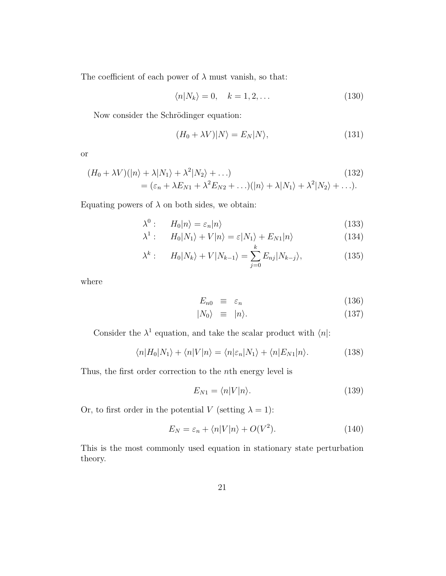The coefficient of each power of  $\lambda$  must vanish, so that:

$$
\langle n|N_k\rangle = 0, \quad k = 1, 2, \dots \tag{130}
$$

Now consider the Schrödinger equation:

$$
(H_0 + \lambda V)|N\rangle = E_N|N\rangle, \tag{131}
$$

or

$$
(H_0 + \lambda V)(|n\rangle + \lambda |N_1\rangle + \lambda^2 |N_2\rangle + \dots)
$$
  
=  $(\varepsilon_n + \lambda E_{N1} + \lambda^2 E_{N2} + \dots)(|n\rangle + \lambda |N_1\rangle + \lambda^2 |N_2\rangle + \dots).$  (132)

Equating powers of  $\lambda$  on both sides, we obtain:

$$
\lambda^0: \qquad H_0|n\rangle = \varepsilon_n|n\rangle \tag{133}
$$

$$
\lambda^{1} : H_{0}|N_{1}\rangle + V|n\rangle = \varepsilon|N_{1}\rangle + E_{N_{1}}|n\rangle \qquad (134)
$$

$$
\lambda^{k} : \qquad H_{0}|N_{k}\rangle + V|N_{k-1}\rangle = \sum_{j=0}^{k} E_{nj}|N_{k-j}\rangle, \tag{135}
$$

where

$$
E_{n0} \equiv \varepsilon_n \tag{136}
$$

$$
|N_0\rangle \equiv |n\rangle. \tag{137}
$$

Consider the  $\lambda^1$  equation, and take the scalar product with  $\langle n|$ :

$$
\langle n|H_0|N_1\rangle + \langle n|V|n\rangle = \langle n|\varepsilon_n|N_1\rangle + \langle n|E_{N_1}|n\rangle. \tag{138}
$$

Thus, the first order correction to the *n*th energy level is

$$
E_{N1} = \langle n|V|n\rangle.
$$
\n(139)

Or, to first order in the potential *V* (setting  $\lambda = 1$ ):

$$
E_N = \varepsilon_n + \langle n|V|n\rangle + O(V^2). \tag{140}
$$

This is the most commonly used equation in stationary state perturbation theory.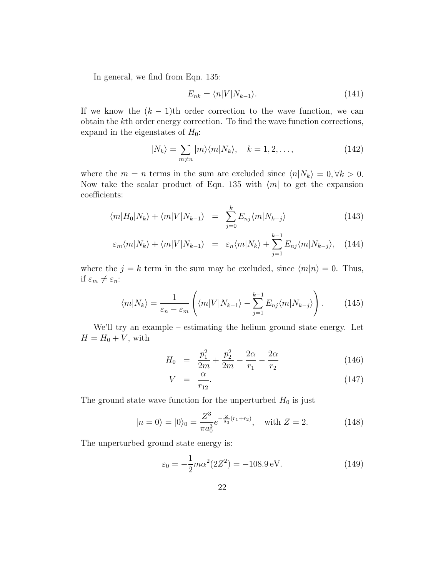In general, we find from Eqn. 135:

$$
E_{nk} = \langle n|V|N_{k-1}\rangle.
$$
\n(141)

If we know the  $(k - 1)$ <sup>th</sup> order correction to the wave function, we can obtain the *k*th order energy correction. To find the wave function corrections, expand in the eigenstates of  $H_0$ :

$$
|N_k\rangle = \sum_{m \neq n} |m\rangle \langle m|N_k\rangle, \quad k = 1, 2, \dots,
$$
 (142)

where the  $m = n$  terms in the sum are excluded since  $\langle n | N_k \rangle = 0, \forall k > 0$ . Now take the scalar product of Eqn. 135 with  $\langle m |$  to get the expansion coefficients:

$$
\langle m|H_0|N_k\rangle + \langle m|V|N_{k-1}\rangle = \sum_{j=0}^k E_{nj}\langle m|N_{k-j}\rangle \tag{143}
$$

$$
\varepsilon_m \langle m | N_k \rangle + \langle m | V | N_{k-1} \rangle = \varepsilon_n \langle m | N_k \rangle + \sum_{j=1}^{k-1} E_{nj} \langle m | N_{k-j} \rangle, \quad (144)
$$

where the  $j = k$  term in the sum may be excluded, since  $\langle m|n \rangle = 0$ . Thus, if  $\varepsilon_m \neq \varepsilon_n$ :

$$
\langle m|N_k\rangle = \frac{1}{\varepsilon_n - \varepsilon_m} \left( \langle m|V|N_{k-1} \rangle - \sum_{j=1}^{k-1} E_{nj} \langle m|N_{k-j} \rangle \right). \tag{145}
$$

We'll try an example – estimating the helium ground state energy. Let  $H = H_0 + V$ , with

$$
H_0 = \frac{p_1^2}{2m} + \frac{p_2^2}{2m} - \frac{2\alpha}{r_1} - \frac{2\alpha}{r_2}
$$
 (146)

$$
V = \frac{\alpha}{r_{12}}.\tag{147}
$$

The ground state wave function for the unperturbed  $H_0$  is just

$$
|n=0\rangle = |0\rangle_0 = \frac{Z^3}{\pi a_0^3} e^{-\frac{Z}{a_0}(r_1+r_2)}, \quad \text{with } Z=2.
$$
 (148)

The unperturbed ground state energy is:

$$
\varepsilon_0 = -\frac{1}{2}m\alpha^2(2Z^2) = -108.9 \,\text{eV}.\tag{149}
$$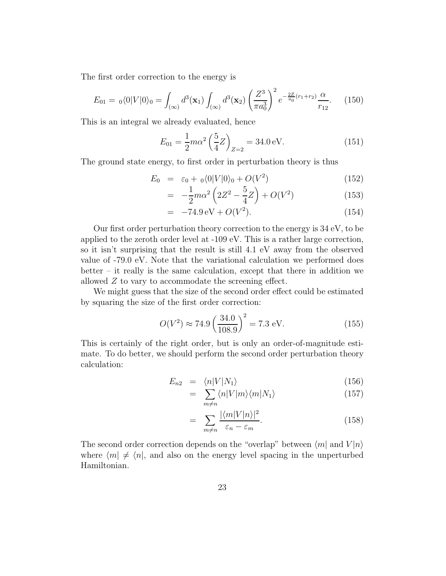The first order correction to the energy is

$$
E_{01} = \left. _0\langle 0|V|0\rangle _0 = \int_{(\infty)} d^3(\mathbf{x}_1) \int_{(\infty)} d^3(\mathbf{x}_2) \left(\frac{Z^3}{\pi a_0^3}\right)^2 e^{-\frac{2Z}{a_0}(r_1+r_2)} \frac{\alpha}{r_{12}}.\right. (150)
$$

This is an integral we already evaluated, hence

$$
E_{01} = \frac{1}{2} m \alpha^2 \left(\frac{5}{4} Z\right)_{Z=2} = 34.0 \,\text{eV}.
$$
 (151)

The ground state energy, to first order in perturbation theory is thus

$$
E_0 = \varepsilon_0 + \, _0\langle 0|V|0\rangle_0 + O(V^2) \tag{152}
$$

$$
= -\frac{1}{2}m\alpha^2 \left(2Z^2 - \frac{5}{4}Z\right) + O(V^2)
$$
 (153)

$$
= -74.9 \,\mathrm{eV} + O(V^2). \tag{154}
$$

Our first order perturbation theory correction to the energy is 34 eV, to be applied to the zeroth order level at -109 eV. This is a rather large correction, so it isn't surprising that the result is still 4.1 eV away from the observed value of -79.0 eV. Note that the variational calculation we performed does better – it really is the same calculation, except that there in addition we allowed *Z* to vary to accommodate the screening effect.

We might guess that the size of the second order effect could be estimated by squaring the size of the first order correction:

$$
O(V^2) \approx 74.9 \left(\frac{34.0}{108.9}\right)^2 = 7.3 \text{ eV}.
$$
 (155)

This is certainly of the right order, but is only an order-of-magnitude estimate. To do better, we should perform the second order perturbation theory calculation:

$$
E_{n2} = \langle n|V|N_1\rangle \tag{156}
$$

$$
= \sum_{m \neq n} \langle n | V | m \rangle \langle m | N_1 \rangle \tag{157}
$$

$$
= \sum_{m \neq n} \frac{|\langle m | V | n \rangle|^2}{\varepsilon_n - \varepsilon_m}.
$$
 (158)

The second order correction depends on the "overlap" between  $\langle m |$  and  $V | n \rangle$ where  $\langle m | \neq \langle n |$ , and also on the energy level spacing in the unperturbed Hamiltonian.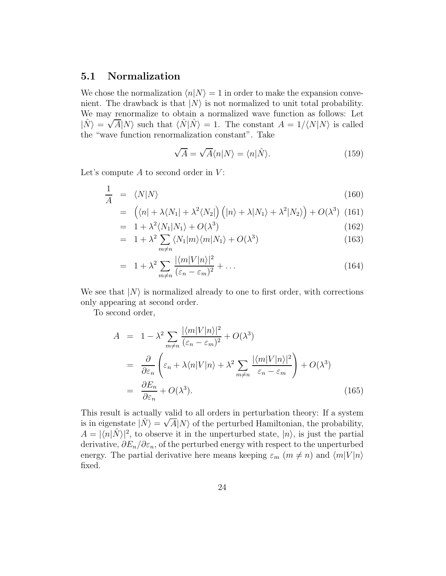### **5.1 Normalization**

We chose the normalization  $\langle n|N\rangle = 1$  in order to make the expansion convenient. The drawback is that  $|N\rangle$  is not normalized to unit total probability. We may renormalize to obtain a normalized wave function as follows: Let  $|\hat{N}\rangle = \sqrt{A} |N\rangle$  such that  $\langle \hat{N} | \hat{N} \rangle = 1$ . The constant  $A = 1/\langle N | N \rangle$  is called the "wave function renormalization constant". Take

$$
\sqrt{A} = \sqrt{A} \langle n | N \rangle = \langle n | \hat{N} \rangle. \tag{159}
$$

Let's compute *A* to second order in *V* :

$$
\frac{1}{A} = \langle N|N\rangle \tag{160}
$$

$$
= \left( \langle n | + \lambda \langle N_1 | + \lambda^2 \langle N_2 | \right) \left( |n\rangle + \lambda |N_1\rangle + \lambda^2 |N_2\rangle \right) + O(\lambda^3) \tag{161}
$$

$$
= 1 + \lambda^2 \langle N_1 | N_1 \rangle + O(\lambda^3) \tag{162}
$$

$$
= 1 + \lambda^2 \sum_{m \neq n} \langle N_1 | m \rangle \langle m | N_1 \rangle + O(\lambda^3)
$$
\n(163)

$$
= 1 + \lambda^2 \sum_{m \neq n} \frac{|\langle m|V|n\rangle|^2}{(\varepsilon_n - \varepsilon_m)^2} + \dots \tag{164}
$$

We see that  $|N\rangle$  is normalized already to one to first order, with corrections only appearing at second order.

To second order,

$$
A = 1 - \lambda^2 \sum_{m \neq n} \frac{|\langle m | V | n \rangle|^2}{(\varepsilon_n - \varepsilon_m)^2} + O(\lambda^3)
$$
  
\n
$$
= \frac{\partial}{\partial \varepsilon_n} \left( \varepsilon_n + \lambda \langle n | V | n \rangle + \lambda^2 \sum_{m \neq n} \frac{|\langle m | V | n \rangle|^2}{\varepsilon_n - \varepsilon_m} \right) + O(\lambda^3)
$$
  
\n
$$
= \frac{\partial E_n}{\partial \varepsilon_n} + O(\lambda^3). \tag{165}
$$

This result is actually valid to all orders in perturbation theory: If a system is in eigenstate  $|\hat{N}\rangle = \sqrt{A}|N\rangle$  of the perturbed Hamiltonian, the probability,  $A = |\langle n|\hat{N}\rangle|^2$ , to observe it in the unperturbed state,  $|n\rangle$ , is just the partial derivative, *∂E*n*/∂ε*n, of the perturbed energy with respect to the unperturbed energy. The partial derivative here means keeping  $\varepsilon_m$  ( $m \neq n$ ) and  $\langle m|V|n \rangle$ fixed.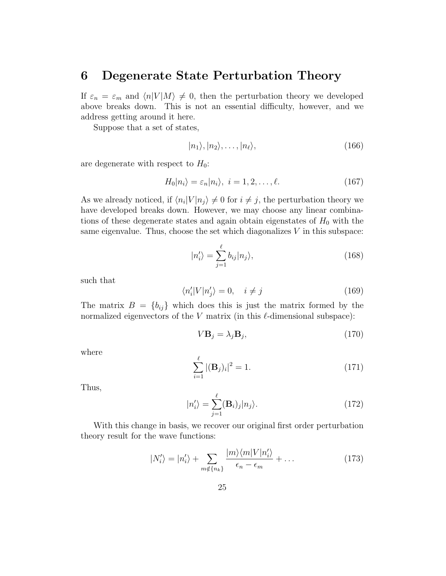### **6 Degenerate State Perturbation Theory**

If  $\varepsilon_n = \varepsilon_m$  and  $\langle n|V|M\rangle \neq 0$ , then the perturbation theory we developed above breaks down. This is not an essential difficulty, however, and we address getting around it here.

Suppose that a set of states,

$$
|n_1\rangle, |n_2\rangle, \ldots, |n_\ell\rangle, \tag{166}
$$

are degenerate with respect to  $H_0$ :

$$
H_0|n_i\rangle = \varepsilon_n|n_i\rangle, \ i = 1, 2, \dots, \ell. \tag{167}
$$

As we already noticed, if  $\langle n_i|V|n_i\rangle \neq 0$  for  $i \neq j$ , the perturbation theory we have developed breaks down. However, we may choose any linear combinations of these degenerate states and again obtain eigenstates of  $H_0$  with the same eigenvalue. Thus, choose the set which diagonalizes *V* in this subspace:

$$
|n'_{i}\rangle = \sum_{j=1}^{\ell} b_{ij} |n_{j}\rangle, \qquad (168)
$$

such that

$$
\langle n_i' | V | n_j' \rangle = 0, \quad i \neq j \tag{169}
$$

The matrix  $B = \{b_{ij}\}\$  which does this is just the matrix formed by the normalized eigenvectors of the  $V$  matrix (in this  $\ell$ -dimensional subspace):

$$
V\mathbf{B}_j = \lambda_j \mathbf{B}_j,\tag{170}
$$

where

$$
\sum_{i=1}^{\ell} |(\mathbf{B}_j)_i|^2 = 1.
$$
 (171)

Thus,

$$
|n'_{i}\rangle = \sum_{j=1}^{\ell} (\mathbf{B}_{i})_{j} |n_{j}\rangle.
$$
 (172)

With this change in basis, we recover our original first order perturbation theory result for the wave functions:

$$
|N'_{i}\rangle = |n'_{i}\rangle + \sum_{m \notin \{n_{k}\}} \frac{|m\rangle\langle m|V|n'_{i}\rangle}{\epsilon_{n} - \epsilon_{m}} + \dots
$$
 (173)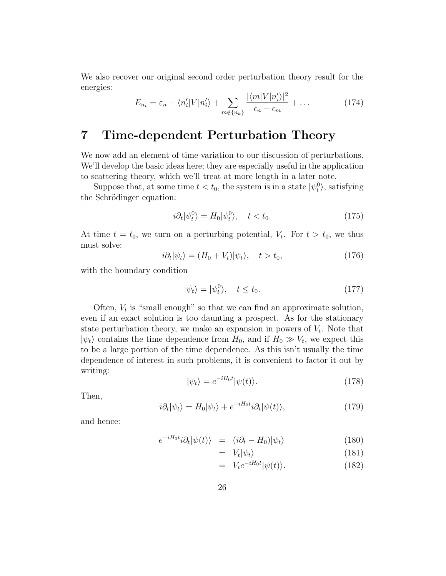We also recover our original second order perturbation theory result for the energies:  $1110$ 

$$
E_{n_i} = \varepsilon_n + \langle n'_i | V | n'_i \rangle + \sum_{m \notin \{n_k\}} \frac{|\langle m | V | n'_i \rangle|^2}{\epsilon_n - \epsilon_m} + \dots \tag{174}
$$

# **7 Time-dependent Perturbation Theory**

We now add an element of time variation to our discussion of perturbations. We'll develop the basic ideas here; they are especially useful in the application to scattering theory, which we'll treat at more length in a later note.

Suppose that, at some time  $t < t_0$ , the system is in a state  $|\psi_t^0\rangle$ , satisfying the Schrödinger equation:

$$
i\partial_t|\psi_t^0\rangle = H_0|\psi_t^0\rangle, \quad t < t_0. \tag{175}
$$

At time  $t = t_0$ , we turn on a perturbing potential,  $V_t$ . For  $t > t_0$ , we thus must solve:

$$
i\partial_t|\psi_t\rangle = (H_0 + V_t)|\psi_t\rangle, \quad t > t_0,
$$
\n(176)

with the boundary condition

$$
|\psi_t\rangle = |\psi_t^0\rangle, \quad t \le t_0. \tag{177}
$$

Often,  $V_t$  is "small enough" so that we can find an approximate solution, even if an exact solution is too daunting a prospect. As for the stationary state perturbation theory, we make an expansion in powers of  $V_t$ . Note that  $|\psi_t\rangle$  contains the time dependence from  $H_0$ , and if  $H_0 \gg V_t$ , we expect this to be a large portion of the time dependence. As this isn't usually the time dependence of interest in such problems, it is convenient to factor it out by writing:

$$
|\psi_t\rangle = e^{-iH_0t} |\psi(t)\rangle.
$$
 (178)

Then,

$$
i\partial_t|\psi_t\rangle = H_0|\psi_t\rangle + e^{-iH_0t}i\partial_t|\psi(t)\rangle,\tag{179}
$$

and hence:

$$
e^{-iH_0t}i\partial_t|\psi(t)\rangle = (i\partial_t - H_0)|\psi_t\rangle \tag{180}
$$

$$
= V_t |\psi_t\rangle \tag{181}
$$

$$
= V_t e^{-iH_0 t} |\psi(t)\rangle.
$$
 (182)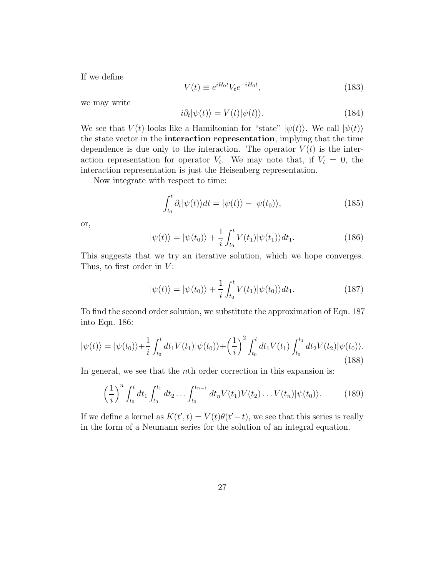If we define

$$
V(t) \equiv e^{iH_0t} V_t e^{-iH_0t}, \qquad (183)
$$

we may write

$$
i\partial_t|\psi(t)\rangle = V(t)|\psi(t)\rangle.
$$
 (184)

We see that  $V(t)$  looks like a Hamiltonian for "state"  $|\psi(t)\rangle$ . We call  $|\psi(t)\rangle$ the state vector in the **interaction representation**, implying that the time dependence is due only to the interaction. The operator  $V(t)$  is the interaction representation for operator  $V_t$ . We may note that, if  $V_t = 0$ , the interaction representation is just the Heisenberg representation.

Now integrate with respect to time:

$$
\int_{t_0}^t \partial_t |\psi(t)\rangle dt = |\psi(t)\rangle - |\psi(t_0)\rangle, \tag{185}
$$

or,

$$
|\psi(t)\rangle = |\psi(t_0)\rangle + \frac{1}{i} \int_{t_0}^t V(t_1) |\psi(t_1)\rangle dt_1.
$$
 (186)

This suggests that we try an iterative solution, which we hope converges. Thus, to first order in *V* :

$$
|\psi(t)\rangle = |\psi(t_0)\rangle + \frac{1}{i} \int_{t_0}^t V(t_1) |\psi(t_0)\rangle dt_1.
$$
 (187)

To find the second order solution, we substitute the approximation of Eqn. 187 into Eqn. 186:

$$
|\psi(t)\rangle = |\psi(t_0)\rangle + \frac{1}{i} \int_{t_0}^t dt_1 V(t_1) |\psi(t_0)\rangle + \left(\frac{1}{i}\right)^2 \int_{t_0}^t dt_1 V(t_1) \int_{t_0}^{t_1} dt_2 V(t_2) |\psi(t_0)\rangle.
$$
\n(188)

In general, we see that the *n*th order correction in this expansion is:

$$
\left(\frac{1}{i}\right)^n \int_{t_0}^t dt_1 \int_{t_0}^{t_1} dt_2 \dots \int_{t_0}^{t_{n-1}} dt_n V(t_1) V(t_2) \dots V(t_n) |\psi(t_0)\rangle.
$$
 (189)

If we define a kernel as  $K(t', t) = V(t)\theta(t'-t)$ , we see that this series is really in the form of a Neumann series for the solution of an integral equation.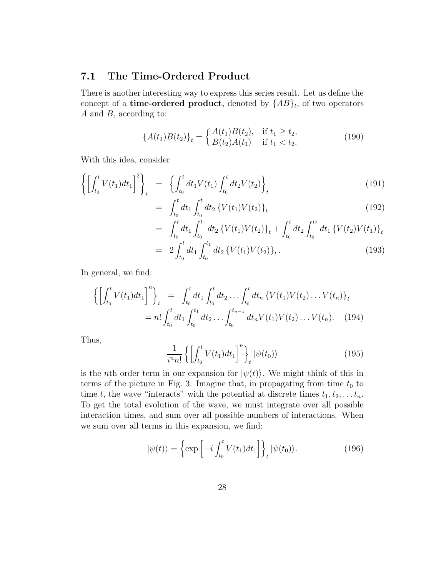### **7.1 The Time-Ordered Product**

There is another interesting way to express this series result. Let us define the concept of a **time-ordered product**, denoted by  ${AB}_t$ , of two operators *A* and *B*, according to:

$$
\{A(t_1)B(t_2)\}_t = \begin{cases} A(t_1)B(t_2), & \text{if } t_1 \ge t_2, \\ B(t_2)A(t_1) & \text{if } t_1 < t_2. \end{cases}
$$
(190)

With this idea, consider

$$
\left\{ \left[ \int_{t_0}^t V(t_1) dt_1 \right]^2 \right\}_t = \left\{ \int_{t_0}^t dt_1 V(t_1) \int_{t_0}^t dt_2 V(t_2) \right\}_t \tag{191}
$$

$$
= \int_{t_0}^t dt_1 \int_{t_0}^t dt_2 \left\{ V(t_1) V(t_2) \right\}_t \tag{192}
$$

$$
= \int_{t_0}^t dt_1 \int_{t_0}^{t_1} dt_2 \left\{ V(t_1) V(t_2) \right\}_t + \int_{t_0}^t dt_2 \int_{t_0}^{t_2} dt_1 \left\{ V(t_2) V(t_1) \right\}_t
$$
  

$$
= 2 \int_{t_0}^t dt_1 \int_{t_0}^{t_1} dt_2 \left\{ V(t_1) V(t_2) \right\}_t.
$$
 (193)

In general, we find:

$$
\left\{ \left[ \int_{t_0}^t V(t_1) dt_1 \right]^n \right\}_t = \int_{t_0}^t dt_1 \int_{t_0}^t dt_2 \dots \int_{t_0}^t dt_n \left\{ V(t_1) V(t_2) \dots V(t_n) \right\}_t
$$
  
=  $n! \int_{t_0}^t dt_1 \int_{t_0}^{t_1} dt_2 \dots \int_{t_0}^{t_{n-1}} dt_n V(t_1) V(t_2) \dots V(t_n).$  (194)

Thus,

$$
\frac{1}{i^n n!} \left\{ \left[ \int_{t_0}^t V(t_1) dt_1 \right]^n \right\}_t |\psi(t_0)\rangle \tag{195}
$$

is the *n*th order term in our expansion for  $|\psi(t)\rangle$ . We might think of this in terms of the picture in Fig. 3: Imagine that, in propagating from time  $t_0$  to time *t*, the wave "interacts" with the potential at discrete times  $t_1, t_2, \ldots t_n$ . To get the total evolution of the wave, we must integrate over all possible interaction times, and sum over all possible numbers of interactions. When we sum over all terms in this expansion, we find:

$$
|\psi(t)\rangle = \left\{ \exp\left[-i\int_{t_0}^t V(t_1)dt_1\right] \right\}_t |\psi(t_0)\rangle.
$$
 (196)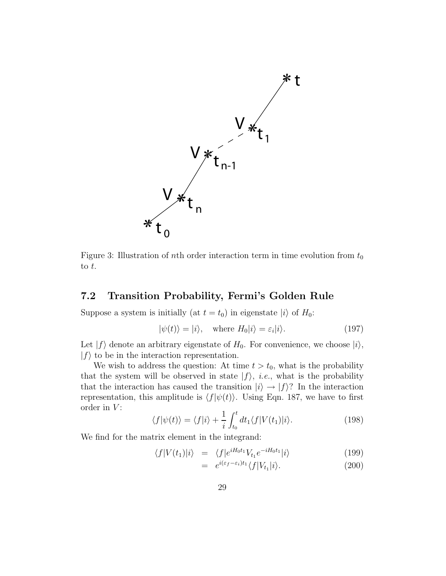

Figure 3: Illustration of *n*th order interaction term in time evolution from  $t_0$ to *t*.

### **7.2 Transition Probability, Fermi's Golden Rule**

Suppose a system is initially (at  $t = t_0$ ) in eigenstate  $|i\rangle$  of  $H_0$ :

$$
|\psi(t)\rangle = |i\rangle, \quad \text{where } H_0|i\rangle = \varepsilon_i|i\rangle. \tag{197}
$$

Let  $|f\rangle$  denote an arbitrary eigenstate of  $H_0$ . For convenience, we choose  $|i\rangle$ ,  $|f\rangle$  to be in the interaction representation.

We wish to address the question: At time  $t > t_0$ , what is the probability that the system will be observed in state  $|f\rangle$ , *i.e.*, what is the probability that the interaction has caused the transition  $|i\rangle \rightarrow |f\rangle$ ? In the interaction representation, this amplitude is  $\langle f|\psi(t)\rangle$ . Using Eqn. 187, we have to first order in *V* :

$$
\langle f|\psi(t)\rangle = \langle f|i\rangle + \frac{1}{i}\int_{t_0}^t dt_1 \langle f|V(t_1)|i\rangle.
$$
 (198)

We find for the matrix element in the integrand:

$$
\langle f|V(t_1)|i\rangle = \langle f|e^{iH_0t_1}V_{t_1}e^{-iH_0t_1}|i\rangle \tag{199}
$$

$$
= e^{i(\varepsilon_f - \varepsilon_i)t_1} \langle f|V_{t_1}|i\rangle. \tag{200}
$$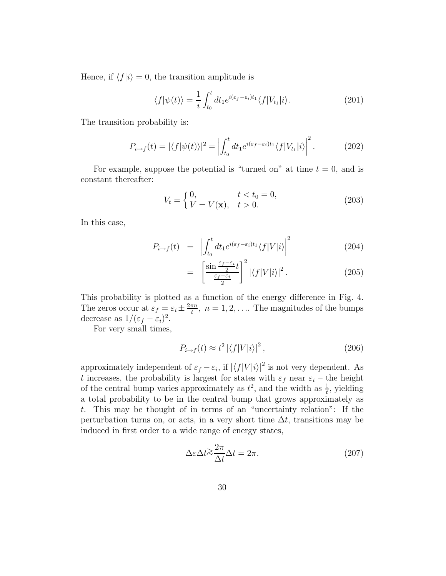Hence, if  $\langle f|i\rangle = 0$ , the transition amplitude is

$$
\langle f|\psi(t)\rangle = \frac{1}{i} \int_{t_0}^t dt_1 e^{i(\varepsilon_f - \varepsilon_i)t_1} \langle f|V_{t_1}|i\rangle.
$$
 (201)

The transition probability is:

$$
P_{i\to f}(t) = |\langle f|\psi(t)\rangle|^2 = \left| \int_{t_0}^t dt_1 e^{i(\varepsilon_f - \varepsilon_i)t_1} \langle f|V_{t_1}|i\rangle \right|^2.
$$
 (202)

For example, suppose the potential is "turned on" at time  $t = 0$ , and is constant thereafter:

$$
V_t = \begin{cases} 0, & t < t_0 = 0, \\ V = V(\mathbf{x}), & t > 0. \end{cases} \tag{203}
$$

In this case,

$$
P_{i \to f}(t) = \left| \int_{t_0}^t dt_1 e^{i(\varepsilon_f - \varepsilon_i)t_1} \langle f | V | i \rangle \right|^2 \tag{204}
$$

$$
= \left[\frac{\sin\frac{\varepsilon_f - \varepsilon_i}{2}t}{\frac{\varepsilon_f - \varepsilon_i}{2}}\right]^2 |\langle f|V|i\rangle|^2. \tag{205}
$$

This probability is plotted as a function of the energy difference in Fig. 4. The zeros occur at  $\varepsilon_f = \varepsilon_i \pm \frac{2\pi n}{t}$ ,  $n = 1, 2, \ldots$  The magnitudes of the bumps decrease as  $1/(\varepsilon_f - \varepsilon_i)^2$ .

For very small times,

$$
P_{i \to f}(t) \approx t^2 |\langle f|V|i\rangle|^2, \qquad (206)
$$

approximately independent of  $\varepsilon_f - \varepsilon_i$ , if  $|\langle f | V | i \rangle|^2$  is not very dependent. As *t* increases, the probability is largest for states with  $\varepsilon_f$  near  $\varepsilon_i$  – the height of the central bump varies approximately as  $t^2$ , and the width as  $\frac{1}{t}$ , yielding a total probability to be in the central bump that grows approximately as *t*. This may be thought of in terms of an "uncertainty relation": If the perturbation turns on, or acts, in a very short time  $\Delta t$ , transitions may be induced in first order to a wide range of energy states,

$$
\Delta \varepsilon \Delta t \gtrsim \frac{2\pi}{\Delta t} \Delta t = 2\pi. \tag{207}
$$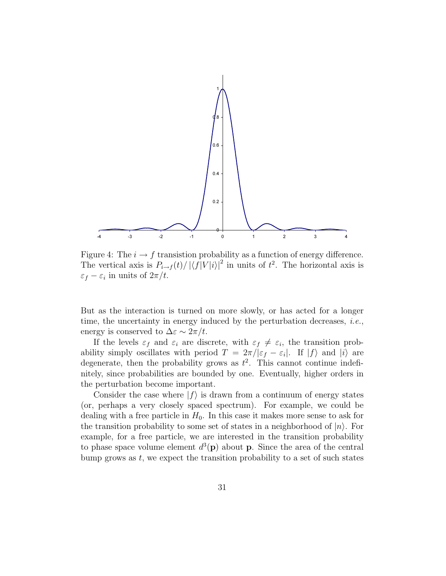

Figure 4: The  $i \to f$  transistion probability as a function of energy difference. The vertical axis is  $P_{i\rightarrow f}(t) / |\langle f|V|i\rangle|^2$  in units of  $t^2$ . The horizontal axis is  $\varepsilon_f - \varepsilon_i$  in units of  $2\pi/t$ .

But as the interaction is turned on more slowly, or has acted for a longer time, the uncertainty in energy induced by the perturbation decreases,  $i.e.,$ energy is conserved to  $\Delta \varepsilon \sim 2\pi/t$ .

If the levels  $\varepsilon_f$  and  $\varepsilon_i$  are discrete, with  $\varepsilon_f \neq \varepsilon_i$ , the transition probability simply oscillates with period  $T = 2\pi/|\varepsilon_f - \varepsilon_i|$ . If  $|f\rangle$  and  $|i\rangle$  are degenerate, then the probability grows as  $t^2$ . This cannot continue indefinitely, since probabilities are bounded by one. Eventually, higher orders in the perturbation become important.

Consider the case where  $|f\rangle$  is drawn from a continuum of energy states (or, perhaps a very closely spaced spectrum). For example, we could be dealing with a free particle in  $H_0$ . In this case it makes more sense to ask for the transition probability to some set of states in a neighborhood of  $|n\rangle$ . For example, for a free particle, we are interested in the transition probability to phase space volume element  $d^3(\mathbf{p})$  about **p**. Since the area of the central bump grows as *t*, we expect the transition probability to a set of such states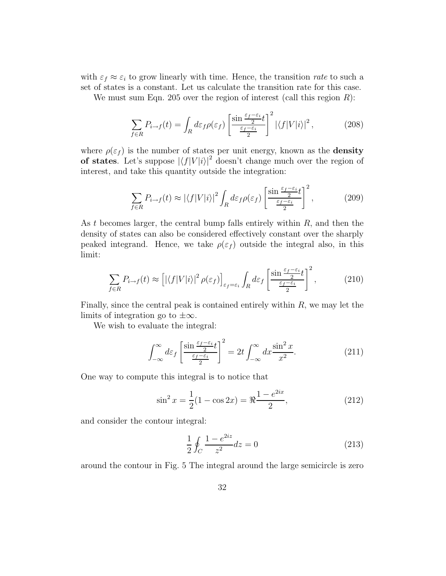with  $\varepsilon_f \approx \varepsilon_i$  to grow linearly with time. Hence, the transition *rate* to such a set of states is a constant. Let us calculate the transition rate for this case.

We must sum Eqn. 205 over the region of interest (call this region *R*):

$$
\sum_{f \in R} P_{i \to f}(t) = \int_R d\varepsilon_f \rho(\varepsilon_f) \left[ \frac{\sin \frac{\varepsilon_f - \varepsilon_i}{2} t}{\frac{\varepsilon_f - \varepsilon_i}{2}} \right]^2 \left| \langle f | V | i \rangle \right|^2, \tag{208}
$$

where  $\rho(\varepsilon_f)$  is the number of states per unit energy, known as the **density of states**. Let's suppose  $|\langle f|V|i\rangle|^2$  doesn't change much over the region of interest, and take this quantity outside the integration:

$$
\sum_{f \in R} P_{i \to f}(t) \approx |\langle f | V | i \rangle|^2 \int_R d\varepsilon_f \rho(\varepsilon_f) \left[ \frac{\sin \frac{\varepsilon_f - \varepsilon_i}{2} t}{\frac{\varepsilon_f - \varepsilon_i}{2}} \right]^2, \tag{209}
$$

As *t* becomes larger, the central bump falls entirely within *R*, and then the density of states can also be considered effectively constant over the sharply peaked integrand. Hence, we take  $\rho(\varepsilon_f)$  outside the integral also, in this limit:

$$
\sum_{f \in R} P_{i \to f}(t) \approx \left[ |\langle f | V | i \rangle|^2 \rho(\varepsilon_f) \right]_{\varepsilon_f = \varepsilon_i} \int_R d\varepsilon_f \left[ \frac{\sin \frac{\varepsilon_f - \varepsilon_i}{2} t}{\frac{\varepsilon_f - \varepsilon_i}{2}} \right]^2, \tag{210}
$$

Finally, since the central peak is contained entirely within *R*, we may let the limits of integration go to  $\pm\infty$ .

We wish to evaluate the integral:

$$
\int_{-\infty}^{\infty} d\varepsilon_f \left[ \frac{\sin \frac{\varepsilon_f - \varepsilon_i}{2}}{\frac{\varepsilon_f - \varepsilon_i}{2}} \right]^2 = 2t \int_{-\infty}^{\infty} dx \frac{\sin^2 x}{x^2}.
$$
 (211)

One way to compute this integral is to notice that

$$
\sin^2 x = \frac{1}{2}(1 - \cos 2x) = \Re \frac{1 - e^{2ix}}{2},\tag{212}
$$

and consider the contour integral:

$$
\frac{1}{2} \oint_C \frac{1 - e^{2iz}}{z^2} dz = 0
$$
\n(213)

around the contour in Fig. 5 The integral around the large semicircle is zero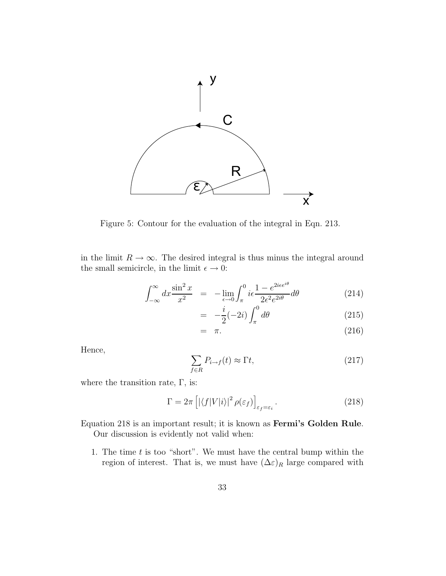

Figure 5: Contour for the evaluation of the integral in Eqn. 213.

in the limit  $R \to \infty$ . The desired integral is thus minus the integral around the small semicircle, in the limit  $\epsilon \to 0$ :

$$
\int_{-\infty}^{\infty} dx \frac{\sin^2 x}{x^2} = -\lim_{\epsilon \to 0} \int_{\pi}^0 i\epsilon \frac{1 - e^{2i\epsilon e^{i\theta}}}{2\epsilon^2 e^{2i\theta}} d\theta \tag{214}
$$

$$
= -\frac{i}{2}(-2i) \int_{\pi}^{0} d\theta \qquad (215)
$$

$$
= \pi. \tag{216}
$$

Hence,

$$
\sum_{f \in R} P_{i \to f}(t) \approx \Gamma t,\tag{217}
$$

where the transition rate,  $\Gamma$ , is:

$$
\Gamma = 2\pi \left[ \left| \langle f|V|i \rangle \right|^2 \rho(\varepsilon_f) \right]_{\varepsilon_f = \varepsilon_i} . \tag{218}
$$

Equation 218 is an important result; it is known as **Fermi's Golden Rule**. Our discussion is evidently not valid when:

1. The time *t* is too "short". We must have the central bump within the region of interest. That is, we must have  $(\Delta \varepsilon)_R$  large compared with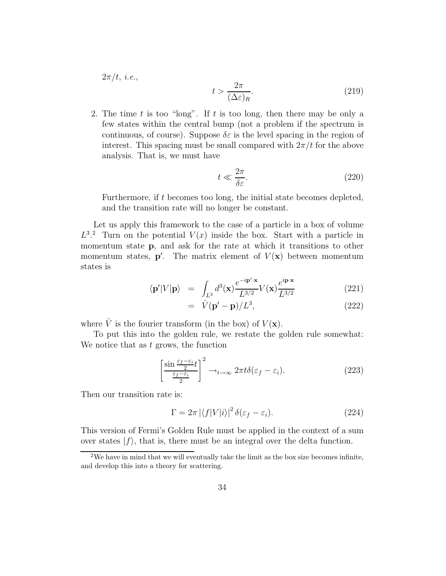$2\pi/t$ , *i.e.*,

$$
t > \frac{2\pi}{(\Delta \varepsilon)_R}.\tag{219}
$$

2. The time *t* is too "long". If *t* is too long, then there may be only a few states within the central bump (not a problem if the spectrum is continuous, of course). Suppose  $\delta \varepsilon$  is the level spacing in the region of interest. This spacing must be small compared with  $2\pi/t$  for the above analysis. That is, we must have

$$
t \ll \frac{2\pi}{\delta \varepsilon}.\tag{220}
$$

Furthermore, if *t* becomes too long, the initial state becomes depleted, and the transition rate will no longer be constant.

Let us apply this framework to the case of a particle in a box of volume  $L^{3,2}$  Turn on the potential  $V(x)$  inside the box. Start with a particle in momentum state **p**, and ask for the rate at which it transitions to other momentum states,  $p'$ . The matrix element of  $V(x)$  between momentum states is

$$
\langle \mathbf{p'}|V|\mathbf{p}\rangle = \int_{L^3} d^3(\mathbf{x}) \frac{e^{-i\mathbf{p'}\cdot\mathbf{x}}}{L^{3/2}} V(\mathbf{x}) \frac{e^{i\mathbf{p}\cdot\mathbf{x}}}{L^{3/2}} \tag{221}
$$

$$
= \hat{V}(\mathbf{p'} - \mathbf{p})/L^3, \tag{222}
$$

where  $\hat{V}$  is the fourier transform (in the box) of  $V(\mathbf{x})$ .

To put this into the golden rule, we restate the golden rule somewhat: We notice that as *t* grows, the function

$$
\left[\frac{\sin\frac{\varepsilon_f-\varepsilon_i}{2}t}{\frac{\varepsilon_f-\varepsilon_i}{2}}\right]^2 \to_{t\to\infty} 2\pi t \delta(\varepsilon_f-\varepsilon_i). \tag{223}
$$

Then our transition rate is:

$$
\Gamma = 2\pi |\langle f|V|i\rangle|^2 \,\delta(\varepsilon_f - \varepsilon_i). \tag{224}
$$

This version of Fermi's Golden Rule must be applied in the context of a sum over states  $|f\rangle$ , that is, there must be an integral over the delta function.

 $2W$ e have in mind that we will eventually take the limit as the box size becomes infinite, and develop this into a theory for scattering.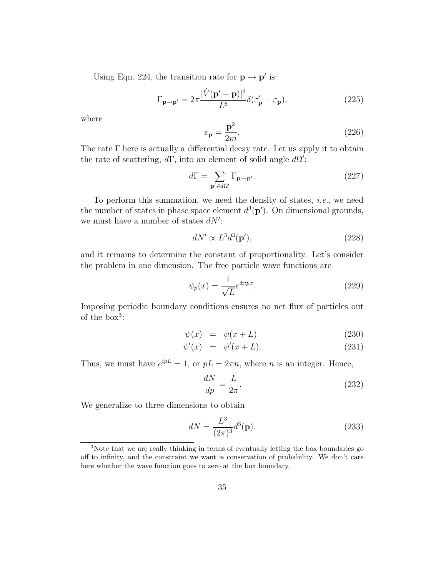Using Eqn. 224, the transition rate for  $\mathbf{p} \to \mathbf{p}'$  is:

$$
\Gamma_{\mathbf{p}\to\mathbf{p}'} = 2\pi \frac{|\hat{V}(\mathbf{p}' - \mathbf{p})|^2}{L^6} \delta(\varepsilon_{\mathbf{p}}' - \varepsilon_{\mathbf{p}}),\tag{225}
$$

where

$$
\varepsilon_{\mathbf{p}} = \frac{\mathbf{p}^2}{2m}.\tag{226}
$$

The rate Γ here is actually a differential decay rate. Let us apply it to obtain the rate of scattering,  $d\Gamma$ , into an element of solid angle  $d\Omega'$ :

$$
d\Gamma = \sum_{\mathbf{p}' \in d\Omega'} \Gamma_{\mathbf{p} \to \mathbf{p}'}.
$$
 (227)

To perform this summation, we need the density of states, *i.e.*, we need the number of states in phase space element  $d^3(\mathbf{p}')$ . On dimensional grounds, we must have a number of states  $dN'$ :

$$
dN' \propto L^3 d^3(\mathbf{p}'),\tag{228}
$$

and it remains to determine the constant of proportionality. Let's consider the problem in one dimension. The free particle wave functions are

$$
\psi_p(x) = \frac{1}{\sqrt{L}} e^{\pm ipx}.
$$
\n(229)

Imposing periodic boundary conditions ensures no net flux of particles out of the box<sup>3</sup>:

$$
\psi(x) = \psi(x+L) \tag{230}
$$

$$
\psi'(x) = \psi'(x+L). \tag{231}
$$

Thus, we must have  $e^{ipL} = 1$ , or  $pL = 2\pi n$ , where *n* is an integer. Hence,

$$
\frac{dN}{dp} = \frac{L}{2\pi}.\tag{232}
$$

We generalize to three dimensions to obtain

$$
dN = \frac{L^3}{(2\pi)^3} d^3(\mathbf{p}).
$$
\n(233)

<sup>3</sup>Note that we are really thinking in terms of eventually letting the box boundaries go off to infinity, and the constraint we want is conservation of probability. We don't care here whether the wave function goes to zero at the box boundary.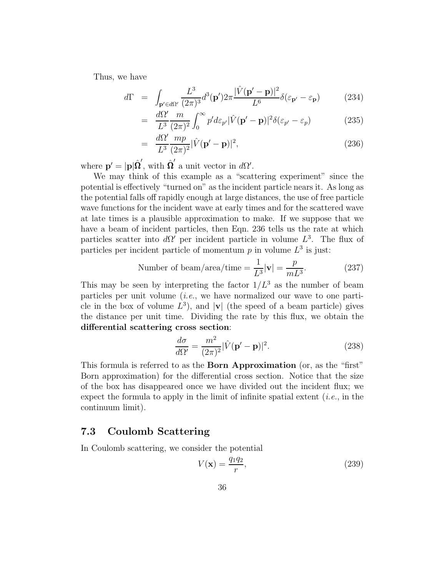Thus, we have

$$
d\Gamma = \int_{\mathbf{p}' \in d\Omega'} \frac{L^3}{(2\pi)^3} d^3(\mathbf{p}') 2\pi \frac{|\hat{V}(\mathbf{p}' - \mathbf{p})|^2}{L^6} \delta(\varepsilon_{\mathbf{p}'} - \varepsilon_{\mathbf{p}})
$$
(234)

$$
= \frac{d\Omega'}{L^3} \frac{m}{(2\pi)^2} \int_0^\infty p' d\varepsilon_{p'} |\hat{V}(\mathbf{p'}-\mathbf{p})|^2 \delta(\varepsilon_{p'}-\varepsilon_p) \tag{235}
$$

$$
= \frac{d\Omega'}{L^3} \frac{mp}{(2\pi)^2} |\hat{V}(\mathbf{p'} - \mathbf{p})|^2, \tag{236}
$$

where  $\mathbf{p}' = |\mathbf{p}|\hat{\mathbf{\Omega}}'$ , with  $\hat{\mathbf{\Omega}}'$  a unit vector in *d* $\Omega'$ .

We may think of this example as a "scattering experiment" since the potential is effectively "turned on" as the incident particle nears it. As long as the potential falls off rapidly enough at large distances, the use of free particle wave functions for the incident wave at early times and for the scattered wave at late times is a plausible approximation to make. If we suppose that we have a beam of incident particles, then Eqn. 236 tells us the rate at which particles scatter into  $d\Omega'$  per incident particle in volume  $L^3$ . The flux of particles per incident particle of momentum  $p$  in volume  $L^3$  is just:

Number of beam/area/time = 
$$
\frac{1}{L^3} |\mathbf{v}| = \frac{p}{mL^3}
$$
. (237)

This may be seen by interpreting the factor  $1/L^3$  as the number of beam particles per unit volume (i.e., we have normalized our wave to one particle in the box of volume  $L^3$ ), and  $|\mathbf{v}|$  (the speed of a beam particle) gives the distance per unit time. Dividing the rate by this flux, we obtain the **differential scattering cross section**:

$$
\frac{d\sigma}{d\Omega'} = \frac{m^2}{(2\pi)^2} |\hat{V}(\mathbf{p'} - \mathbf{p})|^2.
$$
 (238)

This formula is referred to as the **Born Approximation** (or, as the "first" Born approximation) for the differential cross section. Notice that the size of the box has disappeared once we have divided out the incident flux; we expect the formula to apply in the limit of infinite spatial extent  $(i.e.,$  in the continuum limit).

#### **7.3 Coulomb Scattering**

In Coulomb scattering, we consider the potential

$$
V(\mathbf{x}) = \frac{q_1 q_2}{r},\tag{239}
$$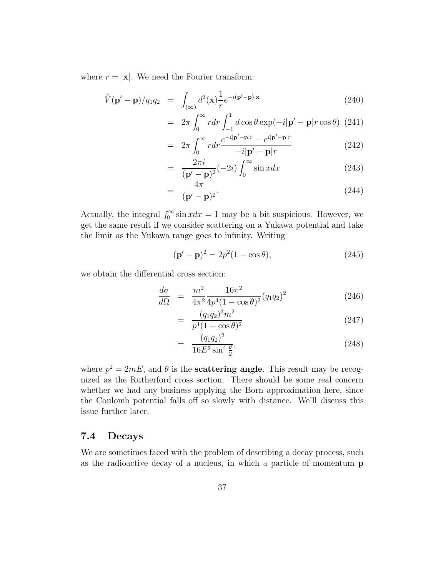where  $r = |\mathbf{x}|$ . We need the Fourier transform:

$$
\hat{V}(\mathbf{p'} - \mathbf{p})/q_1 q_2 = \int_{(\infty)} d^3(\mathbf{x}) \frac{1}{r} e^{-i(\mathbf{p'} - \mathbf{p}) \cdot \mathbf{x}} \tag{240}
$$

$$
= 2\pi \int_0^\infty r dr \int_{-1}^1 d\cos\theta \exp(-i|\mathbf{p}' - \mathbf{p}|r\cos\theta) (241)
$$

$$
r^\infty e^{-i|\mathbf{p}' - \mathbf{p}|r} - e^{i|\mathbf{p}' - \mathbf{p}|r}
$$

$$
= 2\pi \int_0^\infty r dr \frac{e^{-i|\mathbf{p}'-\mathbf{p}|r} - e^{i|\mathbf{p}'-\mathbf{p}|r}}{-i|\mathbf{p}'-\mathbf{p}|r}
$$
(242)

$$
= \frac{2\pi i}{(\mathbf{p'} - \mathbf{p})^2} (-2i) \int_0^\infty \sin x dx \tag{243}
$$

$$
= \frac{4\pi}{(\mathbf{p'} - \mathbf{p})^2}.
$$
 (244)

Actually, the integral  $\int_0^\infty \sin x dx = 1$  may be a bit suspicious. However, we get the same result if we consider scattering on a Yukawa potential and take the limit as the Yukawa range goes to infinity. Writing

$$
(\mathbf{p}' - \mathbf{p})^2 = 2p^2(1 - \cos \theta),
$$
\n(245)

we obtain the differential cross section:

$$
\frac{d\sigma}{d\Omega} = \frac{m^2}{4\pi^2} \frac{16\pi^2}{4p^4(1-\cos\theta)^2} (q_1q_2)^2 \tag{246}
$$

$$
= \frac{(q_1 q_2)^2 m^2}{p^4 (1 - \cos \theta)^2} \tag{247}
$$

$$
= \frac{(q_1 q_2)^2}{16E^2 \sin^4 \frac{\theta}{2}},\tag{248}
$$

where  $p^2 = 2mE$ , and  $\theta$  is the **scattering angle**. This result may be recognized as the Rutherford cross section. There should be some real concern whether we had any business applying the Born approximation here, since the Coulomb potential falls off so slowly with distance. We'll discuss this issue further later.

### **7.4 Decays**

We are sometimes faced with the problem of describing a decay process, such as the radioactive decay of a nucleus, in which a particle of momentum **p**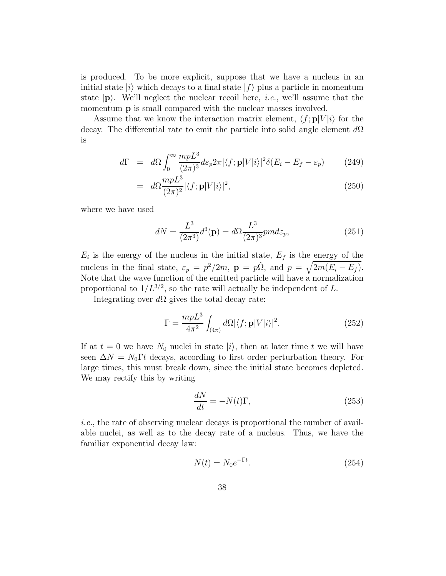is produced. To be more explicit, suppose that we have a nucleus in an initial state  $|i\rangle$  which decays to a final state  $|f\rangle$  plus a particle in momentum state  $|\mathbf{p}\rangle$ . We'll neglect the nuclear recoil here, *i.e.*, we'll assume that the momentum **p** is small compared with the nuclear masses involved.

Assume that we know the interaction matrix element,  $\langle f; \mathbf{p}|V|i\rangle$  for the decay. The differential rate to emit the particle into solid angle element *d*Ω is

$$
d\Gamma = d\Omega \int_0^\infty \frac{mpL^3}{(2\pi)^3} d\varepsilon_p 2\pi |\langle f; \mathbf{p} | V | i \rangle|^2 \delta(E_i - E_f - \varepsilon_p) \tag{249}
$$

$$
= d\Omega \frac{mpL^3}{(2\pi)^2} |\langle f; \mathbf{p}|V|i\rangle|^2, \tag{250}
$$

where we have used

$$
dN = \frac{L^3}{(2\pi^3)}d^3(\mathbf{p}) = d\Omega \frac{L^3}{(2\pi)^3} p m d\varepsilon_p,
$$
\n(251)

 $E_i$  is the energy of the nucleus in the initial state,  $E_f$  is the energy of the nucleus in the final state,  $\varepsilon_p = p^2/2m$ ,  $\mathbf{p} = p\hat{\Omega}$ , and  $p = \sqrt{2m(E_i - E_f)}$ . Note that the wave function of the emitted particle will have a normalization proportional to  $1/L^{3/2}$ , so the rate will actually be independent of *L*.

Integrating over *d*Ω gives the total decay rate:

$$
\Gamma = \frac{mpL^3}{4\pi^2} \int_{(4\pi)} d\Omega |\langle f; \mathbf{p} | V | i \rangle|^2.
$$
 (252)

If at  $t = 0$  we have  $N_0$  nuclei in state  $|i\rangle$ , then at later time  $t$  we will have seen  $\Delta N = N_0 \Gamma t$  decays, according to first order perturbation theory. For large times, this must break down, since the initial state becomes depleted. We may rectify this by writing

$$
\frac{dN}{dt} = -N(t)\Gamma,\tag{253}
$$

i.e., the rate of observing nuclear decays is proportional the number of available nuclei, as well as to the decay rate of a nucleus. Thus, we have the familiar exponential decay law:

$$
N(t) = N_0 e^{-\Gamma t}.
$$
\n
$$
(254)
$$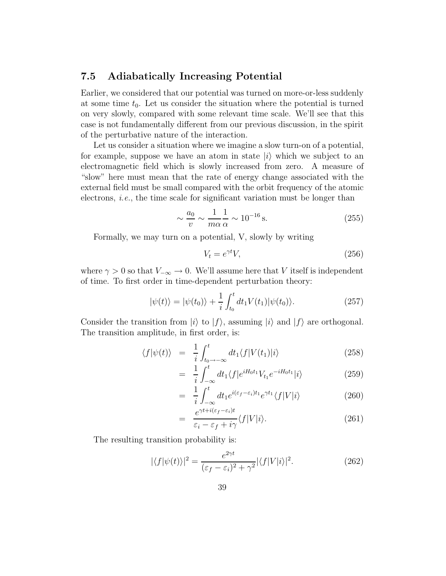### **7.5 Adiabatically Increasing Potential**

Earlier, we considered that our potential was turned on more-or-less suddenly at some time  $t_0$ . Let us consider the situation where the potential is turned on very slowly, compared with some relevant time scale. We'll see that this case is not fundamentally different from our previous discussion, in the spirit of the perturbative nature of the interaction.

Let us consider a situation where we imagine a slow turn-on of a potential, for example, suppose we have an atom in state  $|i\rangle$  which we subject to an electromagnetic field which is slowly increased from zero. A measure of "slow" here must mean that the rate of energy change associated with the external field must be small compared with the orbit frequency of the atomic electrons, i.e., the time scale for significant variation must be longer than

$$
\sim \frac{a_0}{v} \sim \frac{1}{m\alpha} \frac{1}{\alpha} \sim 10^{-16} \,\text{s.} \tag{255}
$$

Formally, we may turn on a potential, V, slowly by writing

$$
V_t = e^{\gamma t} V,\tag{256}
$$

where  $\gamma > 0$  so that  $V_{-\infty} \to 0$ . We'll assume here that *V* itself is independent of time. To first order in time-dependent perturbation theory:

$$
|\psi(t)\rangle = |\psi(t_0)\rangle + \frac{1}{i} \int_{t_0}^t dt_1 V(t_1) |\psi(t_0)\rangle.
$$
 (257)

Consider the transition from  $|i\rangle$  to  $|f\rangle$ , assuming  $|i\rangle$  and  $|f\rangle$  are orthogonal. The transition amplitude, in first order, is:

$$
\langle f|\psi(t)\rangle = \frac{1}{i}\int_{t_0 \to -\infty}^t dt_1 \langle f|V(t_1)|i\rangle \tag{258}
$$

$$
= \frac{1}{i} \int_{-\infty}^{t} dt_1 \langle f | e^{iH_0 t_1} V_{t_1} e^{-iH_0 t_1} | i \rangle \tag{259}
$$

$$
= \frac{1}{i} \int_{-\infty}^{t} dt_1 e^{i(\varepsilon_f - \varepsilon_i)t_1} e^{\gamma t_1} \langle f | V | i \rangle \tag{260}
$$

$$
= \frac{e^{\gamma t + i(\varepsilon_f - \varepsilon_i)t}}{\varepsilon_i - \varepsilon_f + i\gamma} \langle f|V|i\rangle.
$$
 (261)

The resulting transition probability is:

$$
|\langle f|\psi(t)\rangle|^2 = \frac{e^{2\gamma t}}{(\varepsilon_f - \varepsilon_i)^2 + \gamma^2} |\langle f|V|i\rangle|^2.
$$
 (262)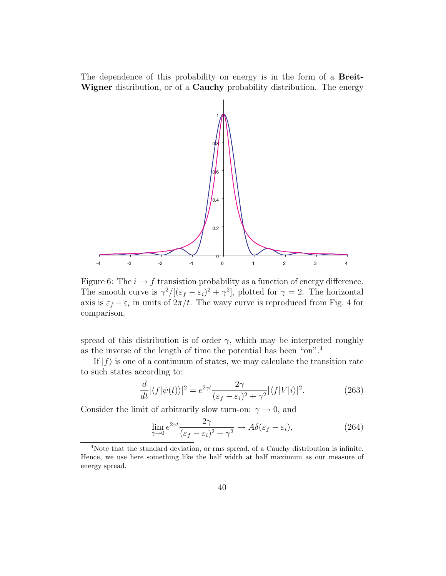The dependence of this probability on energy is in the form of a **Breit-Wigner** distribution, or of a **Cauchy** probability distribution. The energy



Figure 6: The  $i \to f$  transistion probability as a function of energy difference. The smooth curve is  $\gamma^2/[(\varepsilon_f - \varepsilon_i)^2 + \gamma^2]$ , plotted for  $\gamma = 2$ . The horizontal axis is  $\varepsilon_f - \varepsilon_i$  in units of  $2\pi/t$ . The wavy curve is reproduced from Fig. 4 for comparison.

spread of this distribution is of order  $\gamma$ , which may be interpreted roughly as the inverse of the length of time the potential has been "on".<sup>4</sup>

If  $|f\rangle$  is one of a continuum of states, we may calculate the transition rate to such states according to:

$$
\frac{d}{dt} |\langle f | \psi(t) \rangle|^2 = e^{2\gamma t} \frac{2\gamma}{(\varepsilon_f - \varepsilon_i)^2 + \gamma^2} |\langle f | V | i \rangle|^2.
$$
 (263)

Consider the limit of arbitrarily slow turn-on:  $\gamma \to 0$ , and

$$
\lim_{\gamma \to 0} e^{2\gamma t} \frac{2\gamma}{(\varepsilon_f - \varepsilon_i)^2 + \gamma^2} \to A\delta(\varepsilon_f - \varepsilon_i),\tag{264}
$$

<sup>4</sup>Note that the standard deviation, or rms spread, of a Cauchy distribution is infinite. Hence, we use here something like the half width at half maximum as our measure of energy spread.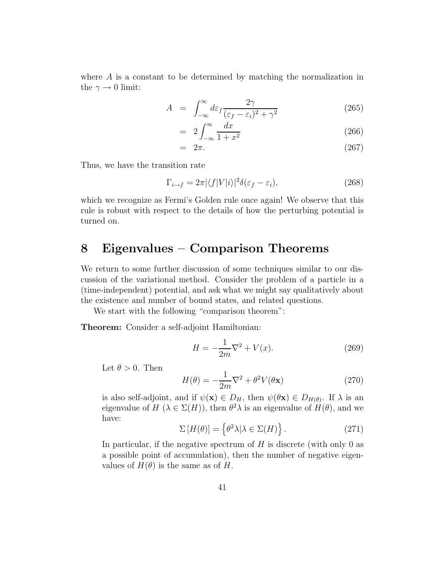where *A* is a constant to be determined by matching the normalization in the  $\gamma \rightarrow 0$  limit:

$$
A = \int_{-\infty}^{\infty} d\varepsilon_f \frac{2\gamma}{(\varepsilon_f - \varepsilon_i)^2 + \gamma^2}
$$
 (265)

$$
= 2 \int_{-\infty}^{\infty} \frac{dx}{1+x^2} \tag{266}
$$

$$
= 2\pi. \tag{267}
$$

Thus, we have the transition rate

$$
\Gamma_{i \to f} = 2\pi |\langle f|V|i\rangle|^2 \delta(\varepsilon_f - \varepsilon_i),\tag{268}
$$

which we recognize as Fermi's Golden rule once again! We observe that this rule is robust with respect to the details of how the perturbing potential is turned on.

# **8 Eigenvalues – Comparison Theorems**

We return to some further discussion of some techniques similar to our discussion of the variational method. Consider the problem of a particle in a (time-independent) potential, and ask what we might say qualitatively about the existence and number of bound states, and related questions.

We start with the following "comparison theorem":

**Theorem:** Consider a self-adjoint Hamiltonian:

$$
H = -\frac{1}{2m}\nabla^2 + V(x).
$$
 (269)

Let  $\theta > 0$ . Then

$$
H(\theta) = -\frac{1}{2m}\nabla^2 + \theta^2 V(\theta \mathbf{x})
$$
\n(270)

is also self-adjoint, and if  $\psi(\mathbf{x}) \in D_H$ , then  $\psi(\theta \mathbf{x}) \in D_{H(\theta)}$ . If  $\lambda$  is an eigenvalue of  $H(\lambda \in \Sigma(H))$ , then  $\theta^2 \lambda$  is an eigenvalue of  $H(\theta)$ , and we have:

$$
\Sigma[H(\theta)] = \left\{\theta^2 \lambda | \lambda \in \Sigma(H)\right\}.
$$
 (271)

In particular, if the negative spectrum of *H* is discrete (with only 0 as a possible point of accumulation), then the number of negative eigenvalues of  $H(\theta)$  is the same as of *H*.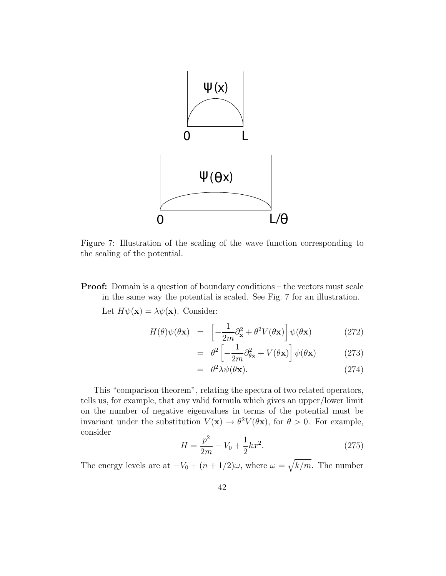

Figure 7: Illustration of the scaling of the wave function corresponding to the scaling of the potential.

**Proof:** Domain is a question of boundary conditions – the vectors must scale in the same way the potential is scaled. See Fig. 7 for an illustration.

Let  $H\psi(\mathbf{x}) = \lambda \psi(\mathbf{x})$ . Consider:

$$
H(\theta)\psi(\theta \mathbf{x}) = \left[ -\frac{1}{2m}\partial_{\mathbf{x}}^2 + \theta^2 V(\theta \mathbf{x}) \right] \psi(\theta \mathbf{x}) \tag{272}
$$

$$
= \theta^2 \left[ -\frac{1}{2m} \partial_{\theta \mathbf{x}}^2 + V(\theta \mathbf{x}) \right] \psi(\theta \mathbf{x}) \tag{273}
$$

$$
= \theta^2 \lambda \psi(\theta \mathbf{x}). \tag{274}
$$

This "comparison theorem", relating the spectra of two related operators, tells us, for example, that any valid formula which gives an upper/lower limit on the number of negative eigenvalues in terms of the potential must be invariant under the substitution  $V(\mathbf{x}) \to \theta^2 V(\theta \mathbf{x})$ , for  $\theta > 0$ . For example, consider

$$
H = \frac{p^2}{2m} - V_0 + \frac{1}{2}kx^2.
$$
 (275)

The energy levels are at  $-V_0 + (n + 1/2)\omega$ , where  $\omega = \sqrt{k/m}$ . The number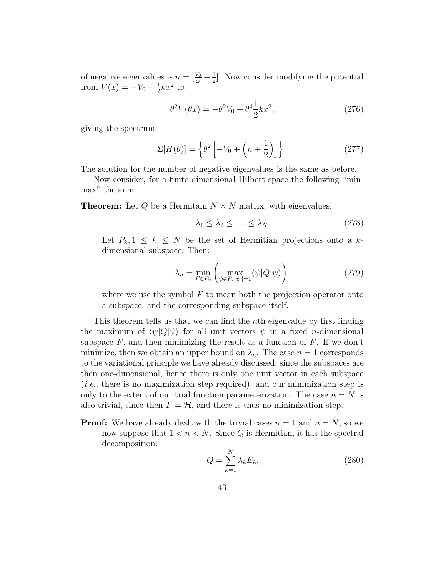of negative eigenvalues is  $n = \left[\frac{V_0}{\omega} - \frac{1}{2}\right]$ . Now consider modifying the potential from  $V(x) = -V_0 + \frac{1}{2}kx^2$  to

$$
\theta^2 V(\theta x) = -\theta^2 V_0 + \theta^4 \frac{1}{2} k x^2, \qquad (276)
$$

giving the spectrum:

$$
\Sigma[H(\theta)] = \left\{\theta^2 \left[-V_0 + \left(n + \frac{1}{2}\right)\right]\right\}.
$$
 (277)

The solution for the number of negative eigenvalues is the same as before.

Now consider, for a finite dimensional Hilbert space the following "minmax" theorem:

**Theorem:** Let  $Q$  be a Hermitain  $N \times N$  matrix, with eigenvalues:

$$
\lambda_1 \leq \lambda_2 \leq \ldots \leq \lambda_N. \tag{278}
$$

Let  $P_k, 1 \leq k \leq N$  be the set of Hermitian projections onto a  $k$ dimensional subspace. Then:

$$
\lambda_n = \min_{F \in P_n} \left( \max_{\psi \in F, ||\psi|| = 1} \langle \psi | Q | \psi \rangle \right), \tag{279}
$$

where we use the symbol *F* to mean both the projection operator onto a subspace, and the corresponding subspace itself.

This theorem tells us that we can find the *n*th eigenvalue by first finding the maximum of  $\langle \psi | Q | \psi \rangle$  for all unit vectors  $\psi$  in a fixed *n*-dimensional subspace  $F$ , and then minimizing the result as a function of  $F$ . If we don't minimize, then we obtain an upper bound on  $\lambda_n$ . The case  $n = 1$  corresponds to the variational principle we have already discussed, since the subspaces are then one-dimensional, hence there is only one unit vector in each subspace  $(i.e., there is no maximization step required), and our minimization step is$ only to the extent of our trial function parameterization. The case  $n = N$  is also trivial, since then  $F = H$ , and there is thus no minimization step.

**Proof:** We have already dealt with the trivial cases  $n = 1$  and  $n = N$ , so we now suppose that  $1 < n < N$ . Since *Q* is Hermitian, it has the spectral decomposition:

$$
Q = \sum_{k=1}^{N} \lambda_k E_k,
$$
\n(280)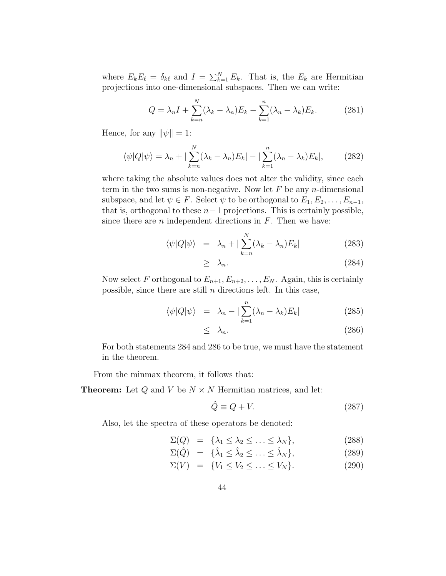where  $E_k E_\ell = \delta_{k\ell}$  and  $I = \sum_{k=1}^N E_k$ . That is, the  $E_k$  are Hermitian projections into one-dimensional subspaces. Then we can write:

$$
Q = \lambda_n I + \sum_{k=n}^{N} (\lambda_k - \lambda_n) E_k - \sum_{k=1}^{n} (\lambda_n - \lambda_k) E_k.
$$
 (281)

Hence, for any  $\|\psi\| = 1$ :

$$
\langle \psi | Q | \psi \rangle = \lambda_n + |\sum_{k=n}^{N} (\lambda_k - \lambda_n) E_k| - |\sum_{k=1}^{n} (\lambda_n - \lambda_k) E_k|, \qquad (282)
$$

where taking the absolute values does not alter the validity, since each term in the two sums is non-negative. Now let *F* be any *n*-dimensional subspace, and let  $\psi \in F$ . Select  $\psi$  to be orthogonal to  $E_1, E_2, \ldots, E_{n-1}$ , that is, orthogonal to these  $n-1$  projections. This is certainly possible, since there are *n* independent directions in *F*. Then we have:

$$
\langle \psi | Q | \psi \rangle = \lambda_n + |\sum_{k=n}^{N} (\lambda_k - \lambda_n) E_k| \qquad (283)
$$

$$
\geq \lambda_n. \tag{284}
$$

Now select *F* orthogonal to  $E_{n+1}, E_{n+2}, \ldots, E_N$ . Again, this is certainly possible, since there are still *n* directions left. In this case,

$$
\langle \psi | Q | \psi \rangle = \lambda_n - |\sum_{k=1}^n (\lambda_n - \lambda_k) E_k| \tag{285}
$$

$$
\leq \lambda_n. \tag{286}
$$

For both statements 284 and 286 to be true, we must have the statement in the theorem.

From the minmax theorem, it follows that:

**Theorem:** Let *Q* and *V* be *N* × *N* Hermitian matrices, and let:

$$
\hat{Q} \equiv Q + V.\tag{287}
$$

Also, let the spectra of these operators be denoted:

$$
\Sigma(Q) = {\lambda_1 \leq \lambda_2 \leq \ldots \leq \lambda_N},
$$
\n(288)

$$
\Sigma(\hat{Q}) = {\hat{\lambda}_1 \le \hat{\lambda}_2 \le \ldots \le \hat{\lambda}_N}, \tag{289}
$$

$$
\Sigma(V) = \{V_1 \le V_2 \le \dots \le V_N\}.
$$
\n
$$
(290)
$$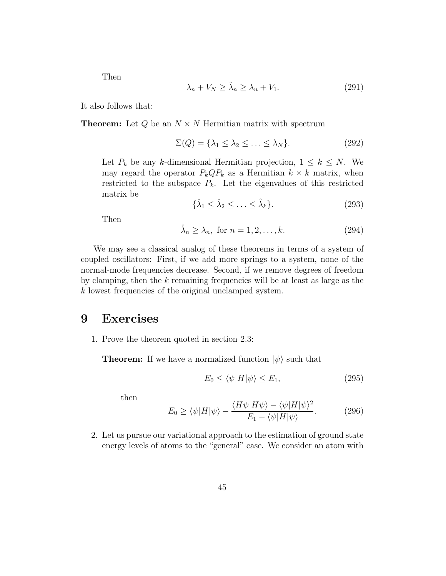Then

$$
\lambda_n + V_N \ge \hat{\lambda}_n \ge \lambda_n + V_1. \tag{291}
$$

It also follows that:

**Theorem:** Let  $Q$  be an  $N \times N$  Hermitian matrix with spectrum

$$
\Sigma(Q) = \{\lambda_1 \le \lambda_2 \le \ldots \le \lambda_N\}.
$$
 (292)

Let  $P_k$  be any *k*-dimensional Hermitian projection,  $1 \leq k \leq N$ . We may regard the operator  $P_kQP_k$  as a Hermitian  $k \times k$  matrix, when restricted to the subspace  $P_k$ . Let the eigenvalues of this restricted matrix be

$$
\{\hat{\lambda}_1 \le \hat{\lambda}_2 \le \ldots \le \hat{\lambda}_k\}.
$$
\n(293)

Then

$$
\hat{\lambda}_n \ge \lambda_n, \text{ for } n = 1, 2, \dots, k. \tag{294}
$$

We may see a classical analog of these theorems in terms of a system of coupled oscillators: First, if we add more springs to a system, none of the normal-mode frequencies decrease. Second, if we remove degrees of freedom by clamping, then the *k* remaining frequencies will be at least as large as the *k* lowest frequencies of the original unclamped system.

### **9 Exercises**

1. Prove the theorem quoted in section 2.3:

**Theorem:** If we have a normalized function  $|\psi\rangle$  such that

$$
E_0 \le \langle \psi | H | \psi \rangle \le E_1,\tag{295}
$$

then

$$
E_0 \ge \langle \psi | H | \psi \rangle - \frac{\langle H \psi | H \psi \rangle - \langle \psi | H | \psi \rangle^2}{E_1 - \langle \psi | H | \psi \rangle}.
$$
 (296)

2. Let us pursue our variational approach to the estimation of ground state energy levels of atoms to the "general" case. We consider an atom with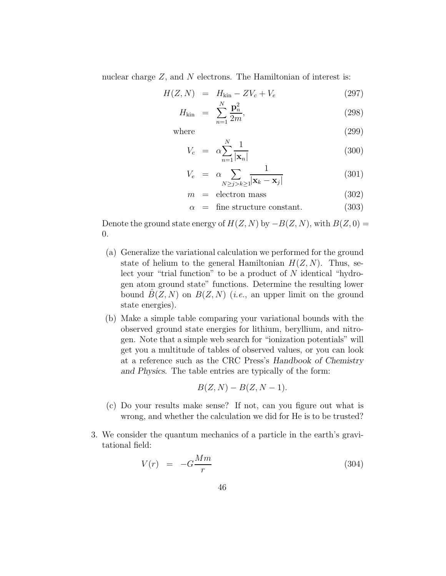nuclear charge *Z*, and *N* electrons. The Hamiltonian of interest is:

$$
H(Z, N) = H_{\text{kin}} - ZV_c + V_e
$$
\n
$$
N - n^2
$$
\n(297)

$$
H_{\rm kin} = \sum_{n=1}^{N} \frac{\mathbf{p}_n^2}{2m},
$$
\n(298)

where  $(299)$ 

$$
V_c = \alpha \sum_{n=1}^{N} \frac{1}{|\mathbf{x}_n|} \tag{300}
$$

$$
V_e = \alpha \sum_{N \ge j > k \ge 1} \frac{1}{|\mathbf{x}_k - \mathbf{x}_j|} \tag{301}
$$

$$
m = \text{electron mass} \tag{302}
$$

$$
\alpha = \text{fine structure constant.} \tag{303}
$$

Denote the ground state energy of  $H(Z, N)$  by  $-B(Z, N)$ , with  $B(Z, 0)$  = 0.

- (a) Generalize the variational calculation we performed for the ground state of helium to the general Hamiltonian  $H(Z, N)$ . Thus, select your "trial function" to be a product of *N* identical "hydrogen atom ground state" functions. Determine the resulting lower bound  $B(Z, N)$  on  $B(Z, N)$  (*i.e.*, an upper limit on the ground state energies).
- (b) Make a simple table comparing your variational bounds with the observed ground state energies for lithium, beryllium, and nitrogen. Note that a simple web search for "ionization potentials" will get you a multitude of tables of observed values, or you can look at a reference such as the CRC Press's Handbook of Chemistry and Physics. The table entries are typically of the form:

$$
B(Z, N) - B(Z, N-1).
$$

- (c) Do your results make sense? If not, can you figure out what is wrong, and whether the calculation we did for He is to be trusted?
- 3. We consider the quantum mechanics of a particle in the earth's gravitational field:

$$
V(r) = -G\frac{Mm}{r} \tag{304}
$$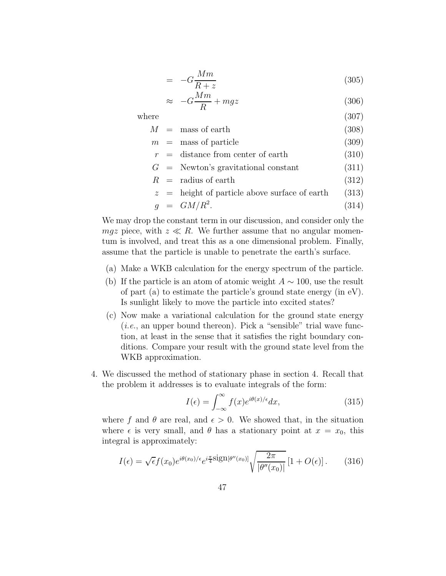$$
= -G\frac{Mm}{R+z} \tag{305}
$$

$$
\approx -G\frac{Mm}{R} + mgz \tag{306}
$$

where  $(307)$ 

$$
M = \text{mass of earth} \tag{308}
$$

- $m =$  mass of particle (309)
- $r =$  distance from center of earth (310)
- $G =$  Newton's gravitational constant (311)
- $R =$  radius of earth (312)

$$
z
$$
 = height of particle above surface of earth (313)

$$
g = GM/R^2. \tag{314}
$$

We may drop the constant term in our discussion, and consider only the *mgz* piece, with  $z \ll R$ . We further assume that no angular momentum is involved, and treat this as a one dimensional problem. Finally, assume that the particle is unable to penetrate the earth's surface.

- (a) Make a WKB calculation for the energy spectrum of the particle.
- (b) If the particle is an atom of atomic weight  $A \sim 100$ , use the result of part (a) to estimate the particle's ground state energy (in eV). Is sunlight likely to move the particle into excited states?
- (c) Now make a variational calculation for the ground state energy  $(i.e., an upper bound thereon). Pick a "sensible" trial wave func$ tion, at least in the sense that it satisfies the right boundary conditions. Compare your result with the ground state level from the WKB approximation.
- 4. We discussed the method of stationary phase in section 4. Recall that the problem it addresses is to evaluate integrals of the form:

$$
I(\epsilon) = \int_{-\infty}^{\infty} f(x)e^{i\theta(x)/\epsilon} dx,
$$
\n(315)

where f and  $\theta$  are real, and  $\epsilon > 0$ . We showed that, in the situation where  $\epsilon$  is very small, and  $\theta$  has a stationary point at  $x = x_0$ , this integral is approximately:

$$
I(\epsilon) = \sqrt{\epsilon} f(x_0) e^{i\theta(x_0)/\epsilon} e^{i\frac{\pi}{4} \text{sign}[\theta''(x_0)]} \sqrt{\frac{2\pi}{|\theta''(x_0)|}} \left[1 + O(\epsilon)\right]. \tag{316}
$$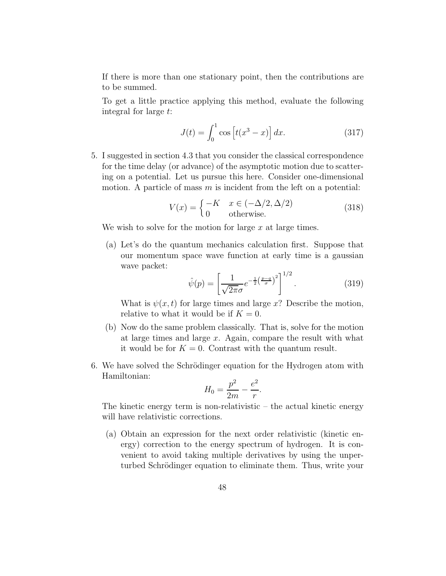If there is more than one stationary point, then the contributions are to be summed.

To get a little practice applying this method, evaluate the following integral for large *t*:

$$
J(t) = \int_0^1 \cos\left[t(x^3 - x)\right] dx.
$$
 (317)

5. I suggested in section 4.3 that you consider the classical correspondence for the time delay (or advance) of the asymptotic motion due to scattering on a potential. Let us pursue this here. Consider one-dimensional motion. A particle of mass *m* is incident from the left on a potential:

$$
V(x) = \begin{cases} -K & x \in (-\Delta/2, \Delta/2) \\ 0 & \text{otherwise.} \end{cases}
$$
 (318)

We wish to solve for the motion for large *x* at large times.

(a) Let's do the quantum mechanics calculation first. Suppose that our momentum space wave function at early time is a gaussian wave packet:  $\frac{1}{2}$ 

$$
\hat{\psi}(p) = \left[\frac{1}{\sqrt{2\pi}\sigma}e^{-\frac{1}{2}\left(\frac{p-q}{\sigma}\right)^2}\right]^{1/2}.\tag{319}
$$

What is  $\psi(x, t)$  for large times and large x? Describe the motion, relative to what it would be if  $K = 0$ .

- (b) Now do the same problem classically. That is, solve for the motion at large times and large *x*. Again, compare the result with what it would be for  $K = 0$ . Contrast with the quantum result.
- 6. We have solved the Schrödinger equation for the Hydrogen atom with Hamiltonian:

$$
H_0 = \frac{p^2}{2m} - \frac{e^2}{r}.
$$

The kinetic energy term is non-relativistic – the actual kinetic energy will have relativistic corrections.

(a) Obtain an expression for the next order relativistic (kinetic energy) correction to the energy spectrum of hydrogen. It is convenient to avoid taking multiple derivatives by using the unperturbed Schrödinger equation to eliminate them. Thus, write your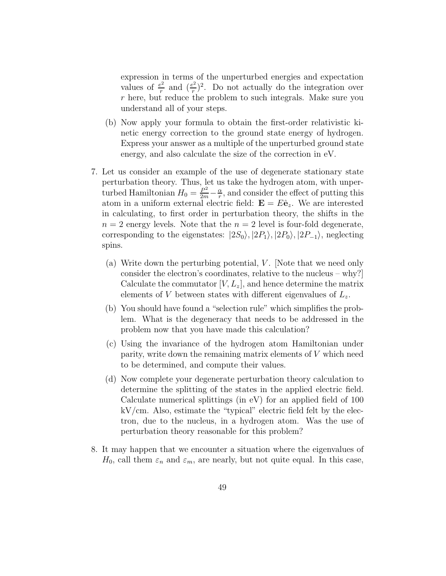expression in terms of the unperturbed energies and expectation values of  $\frac{e^2}{r}$  and  $(\frac{e^2}{r})^2$ . Do not actually do the integration over *r* here, but reduce the problem to such integrals. Make sure you understand all of your steps.

- (b) Now apply your formula to obtain the first-order relativistic kinetic energy correction to the ground state energy of hydrogen. Express your answer as a multiple of the unperturbed ground state energy, and also calculate the size of the correction in eV.
- 7. Let us consider an example of the use of degenerate stationary state perturbation theory. Thus, let us take the hydrogen atom, with unperturbed Hamiltonian  $H_0 = \frac{P^2}{2m} - \frac{\alpha}{r}$ , and consider the effect of putting this atom in a uniform external electric field:  $\mathbf{E} = E\hat{\mathbf{e}}_z$ . We are interested in calculating, to first order in perturbation theory, the shifts in the  $n = 2$  energy levels. Note that the  $n = 2$  level is four-fold degenerate, corresponding to the eigenstates:  $|2S_0\rangle$ ,  $|2P_1\rangle$ ,  $|2P_0\rangle$ ,  $|2P_{-1}\rangle$ , neglecting spins.
	- (a) Write down the perturbing potential, *V*. Note that we need only consider the electron's coordinates, relative to the nucleus – why?] Calculate the commutator  $[V, L_z]$ , and hence determine the matrix elements of *V* between states with different eigenvalues of *L*z.
	- (b) You should have found a "selection rule" which simplifies the problem. What is the degeneracy that needs to be addressed in the problem now that you have made this calculation?
	- (c) Using the invariance of the hydrogen atom Hamiltonian under parity, write down the remaining matrix elements of *V* which need to be determined, and compute their values.
	- (d) Now complete your degenerate perturbation theory calculation to determine the splitting of the states in the applied electric field. Calculate numerical splittings (in eV) for an applied field of 100 kV/cm. Also, estimate the "typical" electric field felt by the electron, due to the nucleus, in a hydrogen atom. Was the use of perturbation theory reasonable for this problem?
- 8. It may happen that we encounter a situation where the eigenvalues of  $H_0$ , call them  $\varepsilon_n$  and  $\varepsilon_m$ , are nearly, but not quite equal. In this case,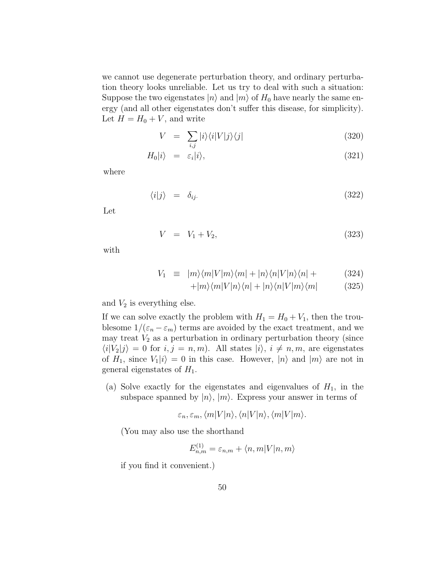we cannot use degenerate perturbation theory, and ordinary perturbation theory looks unreliable. Let us try to deal with such a situation: Suppose the two eigenstates  $|n\rangle$  and  $|m\rangle$  of  $H_0$  have nearly the same energy (and all other eigenstates don't suffer this disease, for simplicity). Let  $H = H_0 + V$ , and write

$$
V = \sum_{i,j} |i\rangle\langle i|V|j\rangle\langle j| \tag{320}
$$

$$
H_0|i\rangle = \varepsilon_i|i\rangle,\tag{321}
$$

where

$$
\langle i|j\rangle = \delta_{ij}.\tag{322}
$$

Let

$$
V = V_1 + V_2, \t\t(323)
$$

with

$$
V_1 \equiv |m\rangle\langle m|V|m\rangle\langle m| + |n\rangle\langle n|V|n\rangle\langle n| + \qquad (324)
$$

$$
+|m\rangle\langle m|V|n\rangle\langle n|+|n\rangle\langle n|V|m\rangle\langle m| \qquad (325)
$$

and  $V_2$  is everything else.

If we can solve exactly the problem with  $H_1 = H_0 + V_1$ , then the troublesome  $1/(\varepsilon_n - \varepsilon_m)$  terms are avoided by the exact treatment, and we may treat  $V_2$  as a perturbation in ordinary perturbation theory (since  $\langle i|V_2|j\rangle = 0$  for  $i, j = n, m$ ). All states  $|i\rangle, i \neq n, m$ , are eigenstates of  $H_1$ , since  $V_1|i\rangle = 0$  in this case. However,  $|n\rangle$  and  $|m\rangle$  are not in general eigenstates of *H*1.

(a) Solve exactly for the eigenstates and eigenvalues of  $H_1$ , in the subspace spanned by  $|n\rangle$ ,  $|m\rangle$ . Express your answer in terms of

 $\varepsilon_n, \varepsilon_m, \langle m | V | n \rangle, \langle n | V | n \rangle, \langle m | V | m \rangle.$ 

(You may also use the shorthand

$$
E_{n,m}^{(1)} = \varepsilon_{n,m} + \langle n,m|V|n,m\rangle
$$

if you find it convenient.)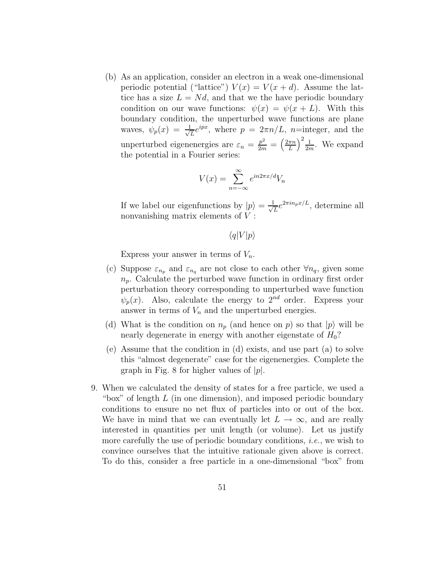(b) As an application, consider an electron in a weak one-dimensional periodic potential ("lattice")  $V(x) = V(x + d)$ . Assume the lattice has a size  $L = Nd$ , and that we the have periodic boundary condition on our wave functions:  $\psi(x) = \psi(x + L)$ . With this boundary condition, the unperturbed wave functions are plane waves,  $\psi_p(x) = \frac{1}{\sqrt{L}} e^{ipx}$ , where  $p = 2\pi n/L$ , *n*=integer, and the unperturbed eigenenergies are  $\varepsilon_n = \frac{p^2}{2m} = \left(\frac{2\pi n}{L}\right)^2$  $\int_{0}^{2} \frac{1}{2m}$ . We expand the potential in a Fourier series:

$$
V(x) = \sum_{n = -\infty}^{\infty} e^{in2\pi x/d} V_n
$$

If we label our eigenfunctions by  $|p\rangle = \frac{1}{\sqrt{L}}e^{2\pi i n_p x/L}$ , determine all nonvanishing matrix elements of *V* :

 $\langle q|V|p\rangle$ 

Express your answer in terms of  $V_n$ .

- (c) Suppose  $\varepsilon_{n_p}$  and  $\varepsilon_{n_q}$  are not close to each other  $\forall n_q$ , given some  $n_p$ . Calculate the perturbed wave function in ordinary first order perturbation theory corresponding to unperturbed wave function  $\psi_p(x)$ . Also, calculate the energy to 2<sup>nd</sup> order. Express your answer in terms of  $V_n$  and the unperturbed energies.
- (d) What is the condition on  $n_p$  (and hence on *p*) so that  $|p\rangle$  will be nearly degenerate in energy with another eigenstate of *H*0?
- (e) Assume that the condition in (d) exists, and use part (a) to solve this "almost degenerate" case for the eigenenergies. Complete the graph in Fig. 8 for higher values of |*p*|.
- 9. When we calculated the density of states for a free particle, we used a "box" of length *L* (in one dimension), and imposed periodic boundary conditions to ensure no net flux of particles into or out of the box. We have in mind that we can eventually let  $L \to \infty$ , and are really interested in quantities per unit length (or volume). Let us justify more carefully the use of periodic boundary conditions, *i.e.*, we wish to convince ourselves that the intuitive rationale given above is correct. To do this, consider a free particle in a one-dimensional "box" from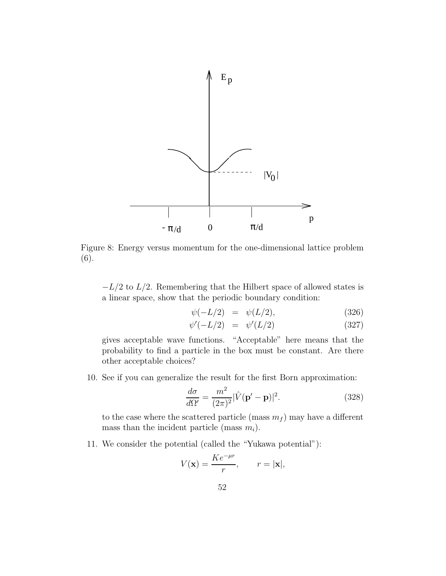

Figure 8: Energy versus momentum for the one-dimensional lattice problem (6).

−*L/*2 to *L/*2. Remembering that the Hilbert space of allowed states is a linear space, show that the periodic boundary condition:

$$
\psi(-L/2) = \psi(L/2), \tag{326}
$$

$$
\psi'(-L/2) = \psi'(L/2) \tag{327}
$$

gives acceptable wave functions. "Acceptable" here means that the probability to find a particle in the box must be constant. Are there other acceptable choices?

10. See if you can generalize the result for the first Born approximation:

$$
\frac{d\sigma}{d\Omega'} = \frac{m^2}{(2\pi)^2} |\hat{V}(\mathbf{p'} - \mathbf{p})|^2.
$$
 (328)

to the case where the scattered particle (mass  $m_f$ ) may have a different mass than the incident particle (mass  $m_i$ ).

11. We consider the potential (called the "Yukawa potential"):

$$
V(\mathbf{x}) = \frac{Ke^{-\mu r}}{r}, \qquad r = |\mathbf{x}|,
$$